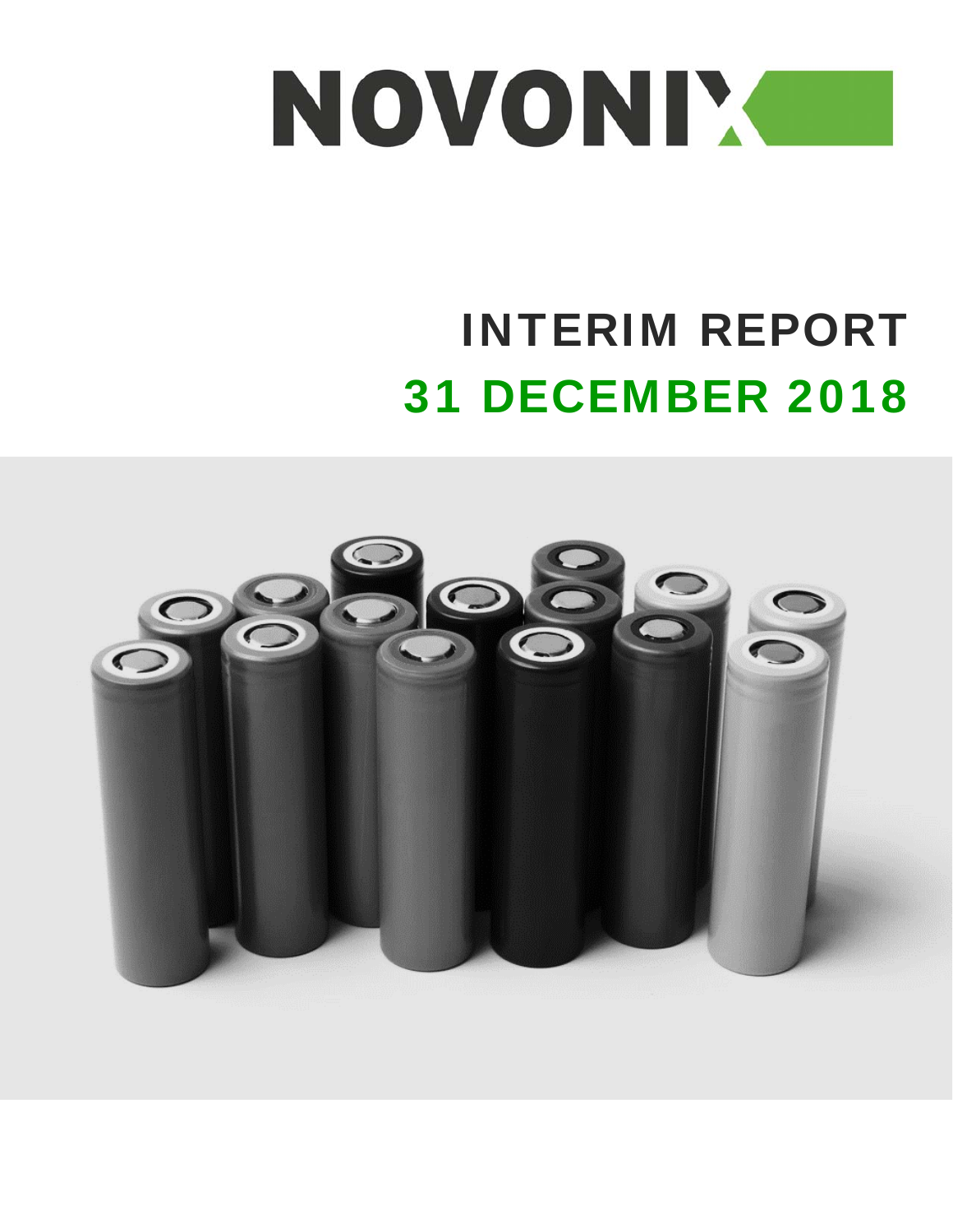

# INTERIM REPORT 31 DECEMBER 2018

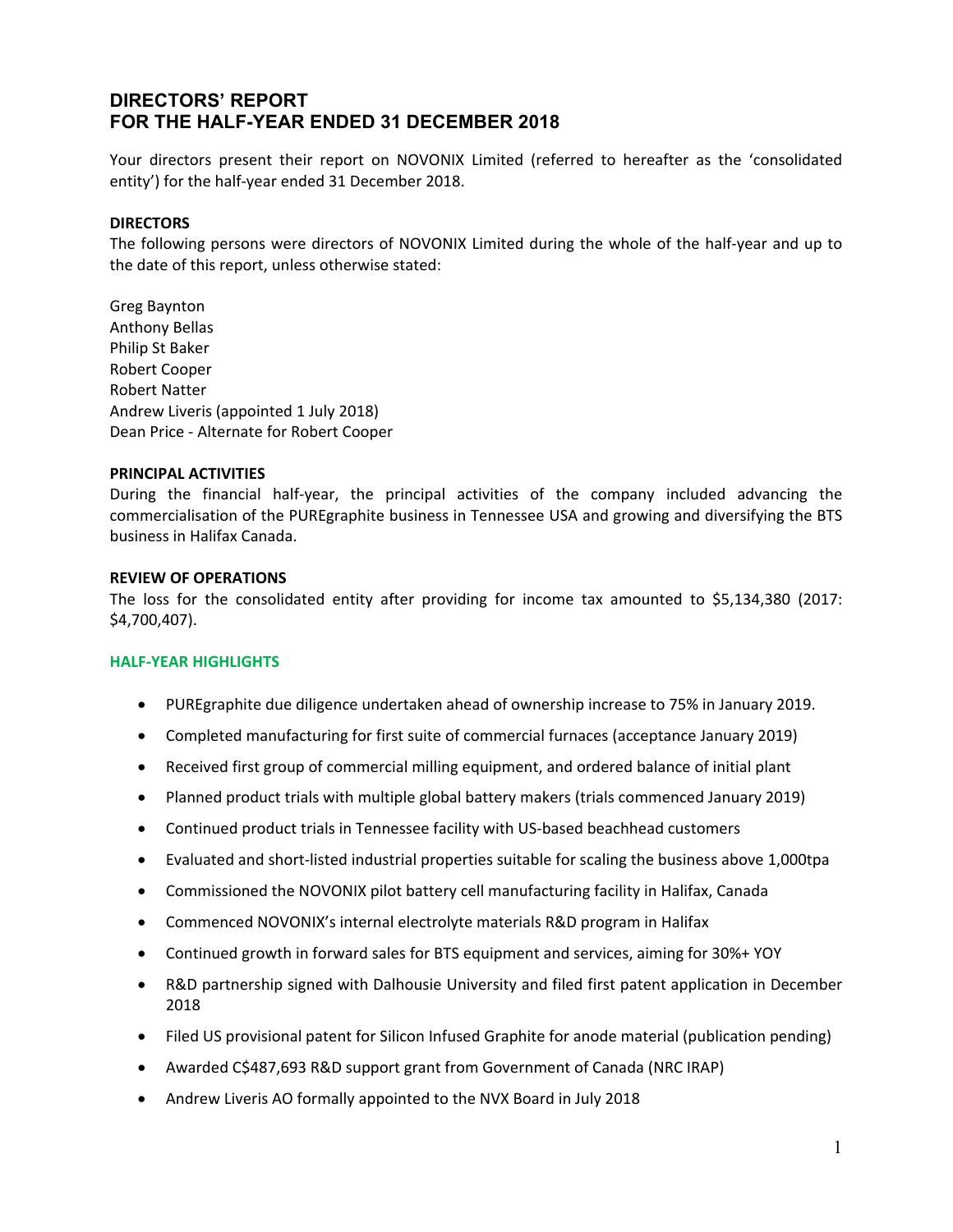Your directors present their report on NOVONIX Limited (referred to hereafter as the 'consolidated entity') for the half‐year ended 31 December 2018.

#### **DIRECTORS**

The following persons were directors of NOVONIX Limited during the whole of the half‐year and up to the date of this report, unless otherwise stated:

Greg Baynton Anthony Bellas Philip St Baker Robert Cooper Robert Natter Andrew Liveris (appointed 1 July 2018) Dean Price ‐ Alternate for Robert Cooper

#### **PRINCIPAL ACTIVITIES**

During the financial half-year, the principal activities of the company included advancing the commercialisation of the PUREgraphite business in Tennessee USA and growing and diversifying the BTS business in Halifax Canada.

#### **REVIEW OF OPERATIONS**

The loss for the consolidated entity after providing for income tax amounted to \$5,134,380 (2017: \$4,700,407).

#### **HALF‐YEAR HIGHLIGHTS**

- PUREgraphite due diligence undertaken ahead of ownership increase to 75% in January 2019.
- Completed manufacturing for first suite of commercial furnaces (acceptance January 2019)
- Received first group of commercial milling equipment, and ordered balance of initial plant
- Planned product trials with multiple global battery makers (trials commenced January 2019)
- Continued product trials in Tennessee facility with US-based beachhead customers
- Evaluated and short‐listed industrial properties suitable for scaling the business above 1,000tpa
- Commissioned the NOVONIX pilot battery cell manufacturing facility in Halifax, Canada
- Commenced NOVONIX's internal electrolyte materials R&D program in Halifax
- Continued growth in forward sales for BTS equipment and services, aiming for 30%+ YOY
- R&D partnership signed with Dalhousie University and filed first patent application in December 2018
- Filed US provisional patent for Silicon Infused Graphite for anode material (publication pending)
- Awarded C\$487,693 R&D support grant from Government of Canada (NRC IRAP)
- Andrew Liveris AO formally appointed to the NVX Board in July 2018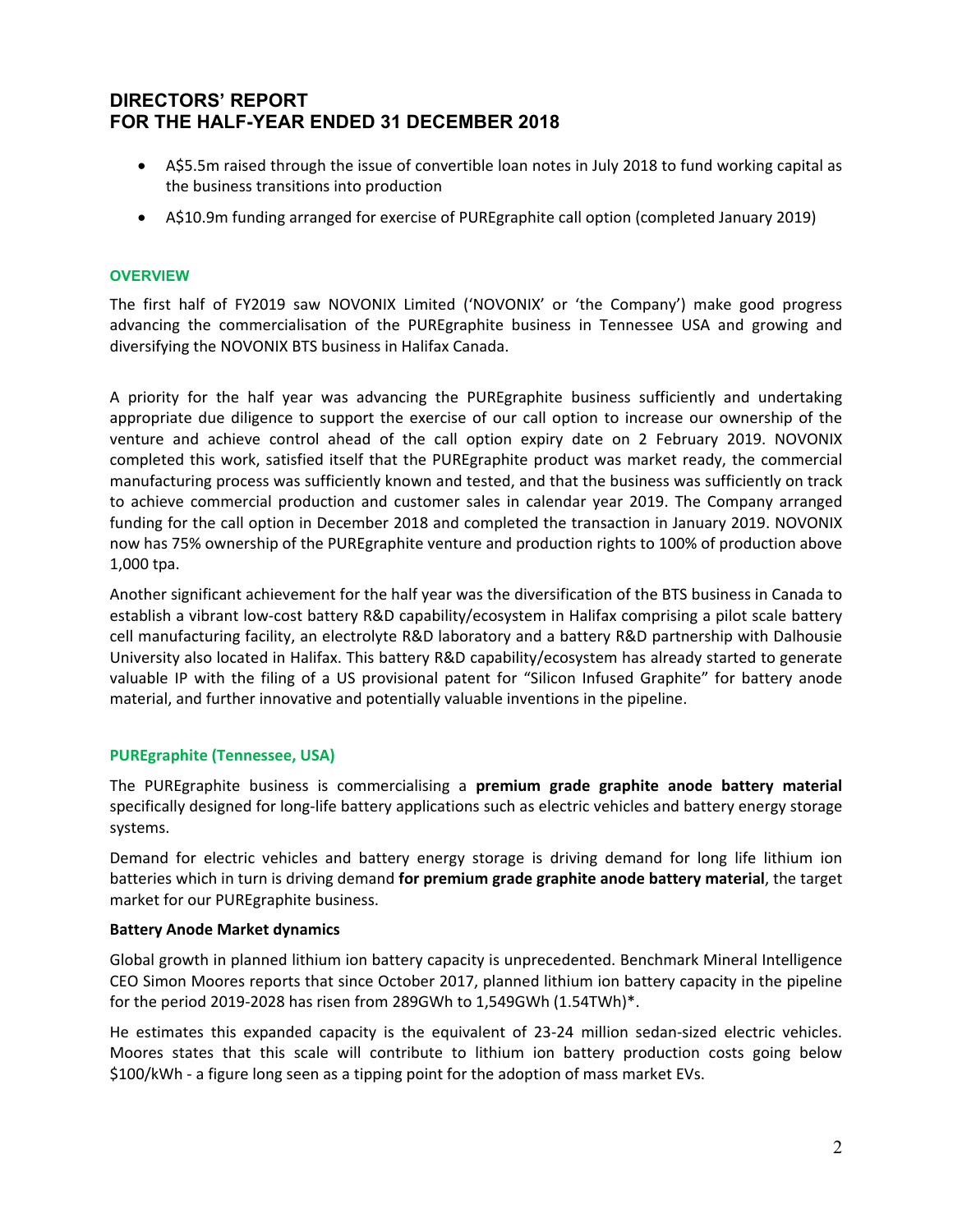- A\$5.5m raised through the issue of convertible loan notes in July 2018 to fund working capital as the business transitions into production
- A\$10.9m funding arranged for exercise of PUREgraphite call option (completed January 2019)

#### **OVERVIEW**

The first half of FY2019 saw NOVONIX Limited ('NOVONIX' or 'the Company') make good progress advancing the commercialisation of the PUREgraphite business in Tennessee USA and growing and diversifying the NOVONIX BTS business in Halifax Canada.

A priority for the half year was advancing the PUREgraphite business sufficiently and undertaking appropriate due diligence to support the exercise of our call option to increase our ownership of the venture and achieve control ahead of the call option expiry date on 2 February 2019. NOVONIX completed this work, satisfied itself that the PUREgraphite product was market ready, the commercial manufacturing process was sufficiently known and tested, and that the business was sufficiently on track to achieve commercial production and customer sales in calendar year 2019. The Company arranged funding for the call option in December 2018 and completed the transaction in January 2019. NOVONIX now has 75% ownership of the PUREgraphite venture and production rights to 100% of production above 1,000 tpa.

Another significant achievement for the half year was the diversification of the BTS business in Canada to establish a vibrant low-cost battery R&D capability/ecosystem in Halifax comprising a pilot scale battery cell manufacturing facility, an electrolyte R&D laboratory and a battery R&D partnership with Dalhousie University also located in Halifax. This battery R&D capability/ecosystem has already started to generate valuable IP with the filing of a US provisional patent for "Silicon Infused Graphite" for battery anode material, and further innovative and potentially valuable inventions in the pipeline.

#### **PUREgraphite (Tennessee, USA)**

The PUREgraphite business is commercialising a **premium grade graphite anode battery material** specifically designed for long‐life battery applications such as electric vehicles and battery energy storage systems.

Demand for electric vehicles and battery energy storage is driving demand for long life lithium ion batteries which in turn is driving demand **for premium grade graphite anode battery material**, the target market for our PUREgraphite business.

#### **Battery Anode Market dynamics**

Global growth in planned lithium ion battery capacity is unprecedented. Benchmark Mineral Intelligence CEO Simon Moores reports that since October 2017, planned lithium ion battery capacity in the pipeline for the period 2019‐2028 has risen from 289GWh to 1,549GWh (1.54TWh)\*.

He estimates this expanded capacity is the equivalent of 23-24 million sedan-sized electric vehicles. Moores states that this scale will contribute to lithium ion battery production costs going below \$100/kWh ‐ a figure long seen as a tipping point for the adoption of mass market EVs.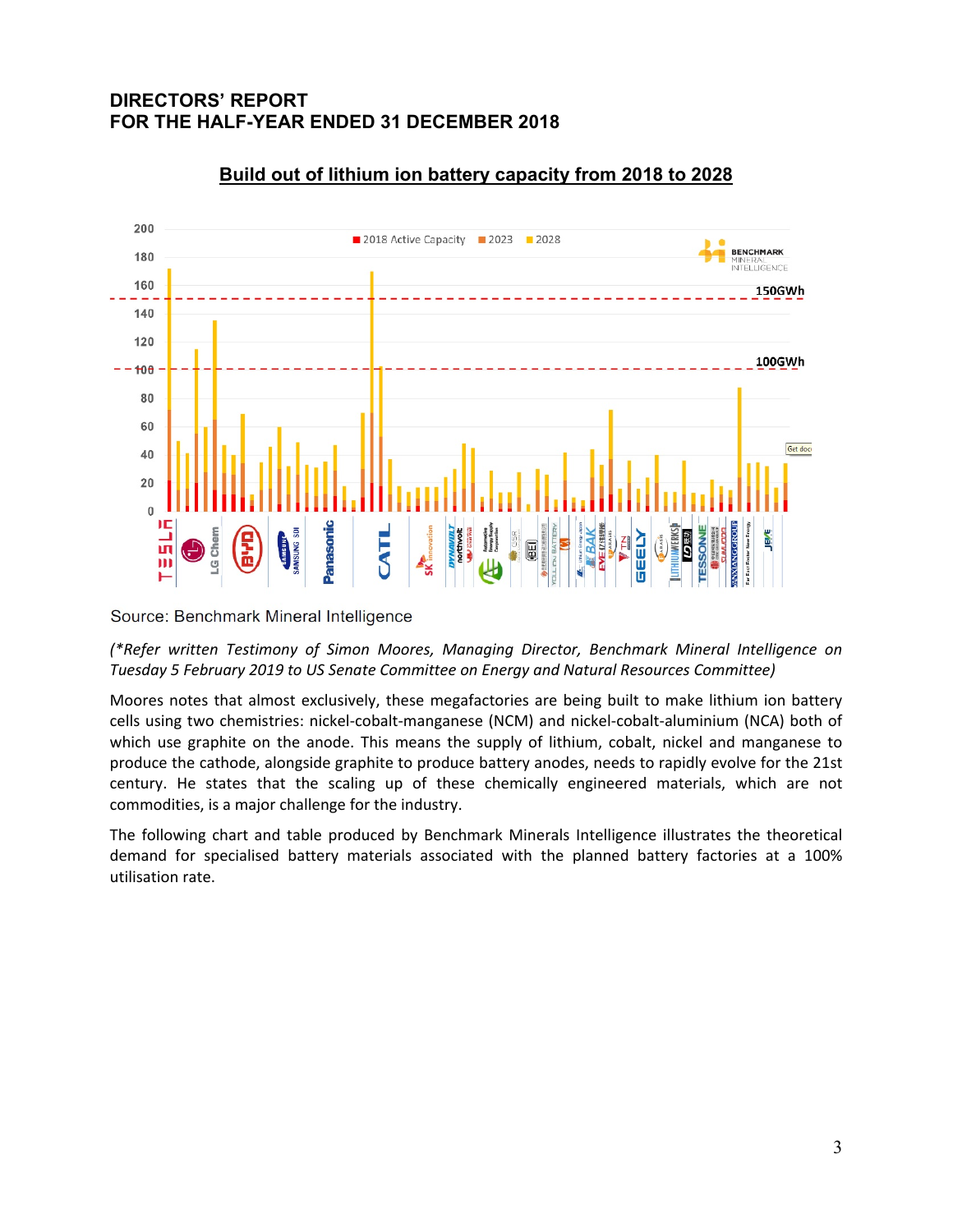

# **Build out of lithium ion battery capacity from 2018 to 2028**

Source: Benchmark Mineral Intelligence

*(\*Refer written Testimony of Simon Moores, Managing Director, Benchmark Mineral Intelligence on Tuesday 5 February 2019 to US Senate Committee on Energy and Natural Resources Committee)* 

Moores notes that almost exclusively, these megafactories are being built to make lithium ion battery cells using two chemistries: nickel‐cobalt‐manganese (NCM) and nickel‐cobalt‐aluminium (NCA) both of which use graphite on the anode. This means the supply of lithium, cobalt, nickel and manganese to produce the cathode, alongside graphite to produce battery anodes, needs to rapidly evolve for the 21st century. He states that the scaling up of these chemically engineered materials, which are not commodities, is a major challenge for the industry.

The following chart and table produced by Benchmark Minerals Intelligence illustrates the theoretical demand for specialised battery materials associated with the planned battery factories at a 100% utilisation rate.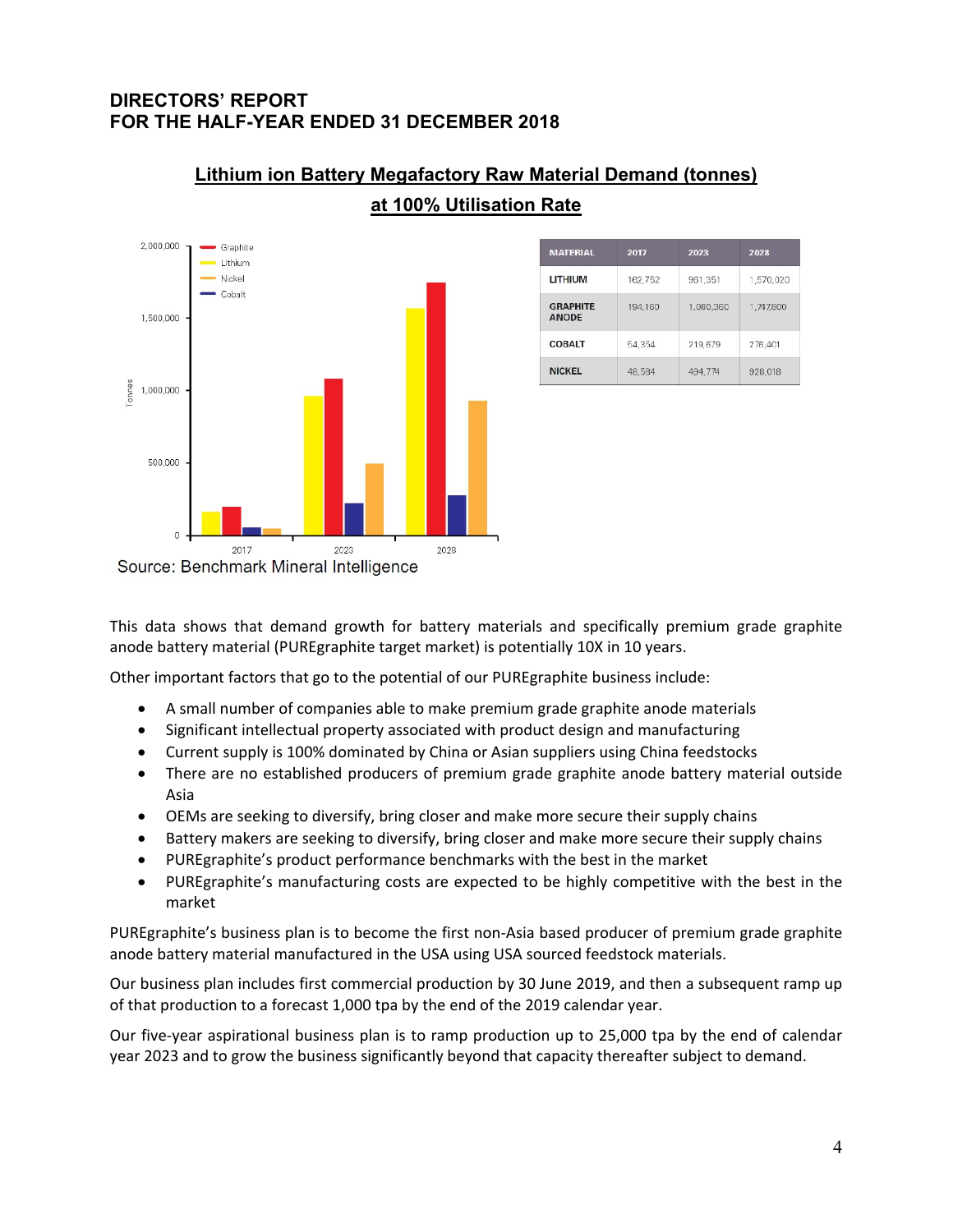

| Lithium ion Battery Megafactory Raw Material Demand (tonnes) |  |  |
|--------------------------------------------------------------|--|--|
| at 100% Utilisation Rate                                     |  |  |

| <b>MATERIAL</b>                 | 2017    | 2023      | 2028      |
|---------------------------------|---------|-----------|-----------|
| <b>LITHIUM</b>                  | 162.752 | 961,351   | 1,570,020 |
| <b>GRAPHITE</b><br><b>ANODE</b> | 194,160 | 1,080,360 | 1,747,800 |
| <b>COBALT</b>                   | 54.354  | 219.679   | 276.401   |
| <b>NICKEL</b>                   | 48,584  | 494.774   | 928,018   |

This data shows that demand growth for battery materials and specifically premium grade graphite anode battery material (PUREgraphite target market) is potentially 10X in 10 years.

Other important factors that go to the potential of our PUREgraphite business include:

- A small number of companies able to make premium grade graphite anode materials
- Significant intellectual property associated with product design and manufacturing
- Current supply is 100% dominated by China or Asian suppliers using China feedstocks
- There are no established producers of premium grade graphite anode battery material outside Asia
- OEMs are seeking to diversify, bring closer and make more secure their supply chains
- Battery makers are seeking to diversify, bring closer and make more secure their supply chains
- PUREgraphite's product performance benchmarks with the best in the market
- PUREgraphite's manufacturing costs are expected to be highly competitive with the best in the market

PUREgraphite's business plan is to become the first non‐Asia based producer of premium grade graphite anode battery material manufactured in the USA using USA sourced feedstock materials.

Our business plan includes first commercial production by 30 June 2019, and then a subsequent ramp up of that production to a forecast 1,000 tpa by the end of the 2019 calendar year.

Our five-year aspirational business plan is to ramp production up to 25,000 tpa by the end of calendar year 2023 and to grow the business significantly beyond that capacity thereafter subject to demand.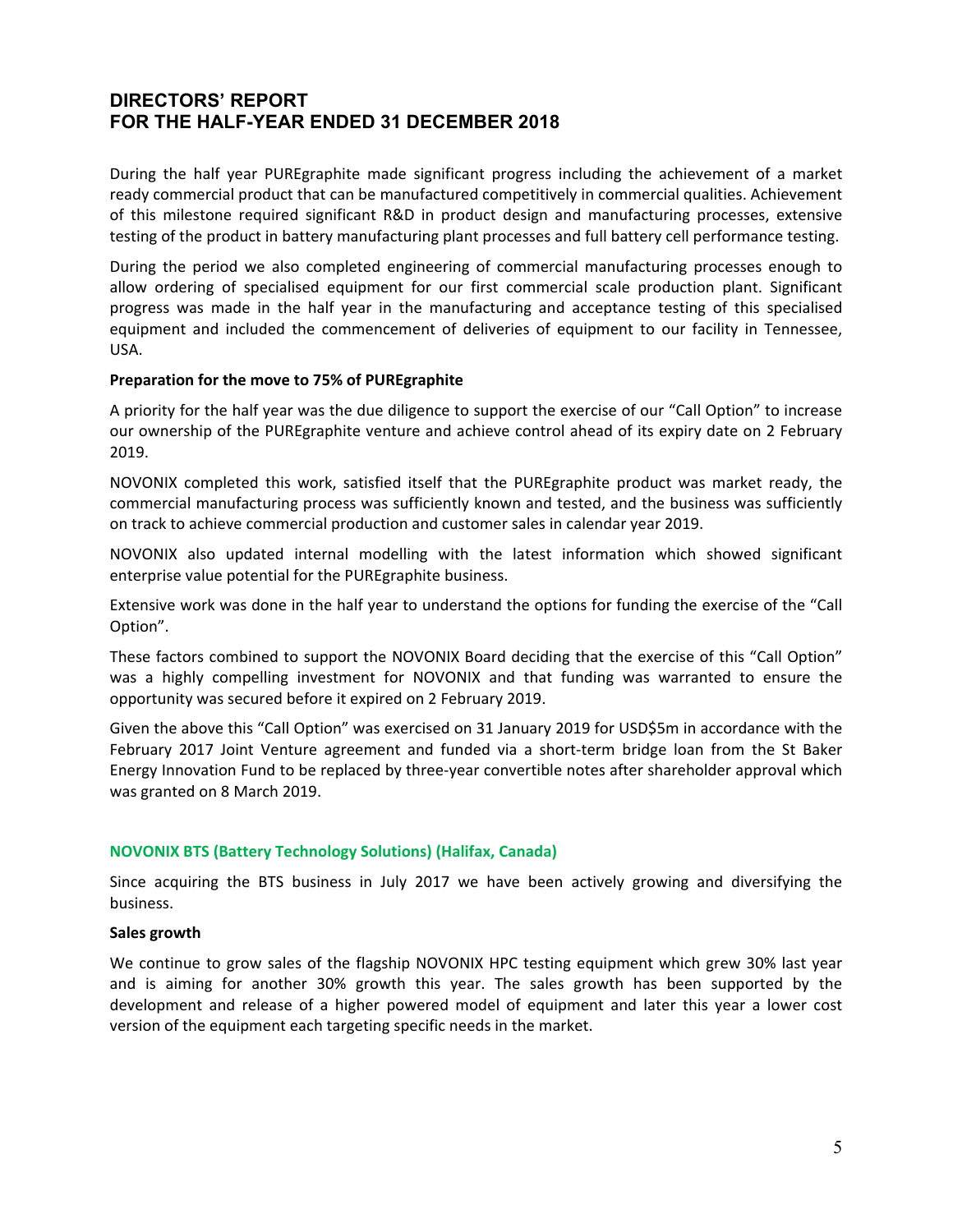During the half year PUREgraphite made significant progress including the achievement of a market ready commercial product that can be manufactured competitively in commercial qualities. Achievement of this milestone required significant R&D in product design and manufacturing processes, extensive testing of the product in battery manufacturing plant processes and full battery cell performance testing.

During the period we also completed engineering of commercial manufacturing processes enough to allow ordering of specialised equipment for our first commercial scale production plant. Significant progress was made in the half year in the manufacturing and acceptance testing of this specialised equipment and included the commencement of deliveries of equipment to our facility in Tennessee, USA.

#### **Preparation for the move to 75% of PUREgraphite**

A priority for the half year was the due diligence to support the exercise of our "Call Option" to increase our ownership of the PUREgraphite venture and achieve control ahead of its expiry date on 2 February 2019.

NOVONIX completed this work, satisfied itself that the PUREgraphite product was market ready, the commercial manufacturing process was sufficiently known and tested, and the business was sufficiently on track to achieve commercial production and customer sales in calendar year 2019.

NOVONIX also updated internal modelling with the latest information which showed significant enterprise value potential for the PUREgraphite business.

Extensive work was done in the half year to understand the options for funding the exercise of the "Call Option".

These factors combined to support the NOVONIX Board deciding that the exercise of this "Call Option" was a highly compelling investment for NOVONIX and that funding was warranted to ensure the opportunity was secured before it expired on 2 February 2019.

Given the above this "Call Option" was exercised on 31 January 2019 for USD\$5m in accordance with the February 2017 Joint Venture agreement and funded via a short-term bridge loan from the St Baker Energy Innovation Fund to be replaced by three‐year convertible notes after shareholder approval which was granted on 8 March 2019.

#### **NOVONIX BTS (Battery Technology Solutions) (Halifax, Canada)**

Since acquiring the BTS business in July 2017 we have been actively growing and diversifying the business.

#### **Sales growth**

We continue to grow sales of the flagship NOVONIX HPC testing equipment which grew 30% last year and is aiming for another 30% growth this year. The sales growth has been supported by the development and release of a higher powered model of equipment and later this year a lower cost version of the equipment each targeting specific needs in the market.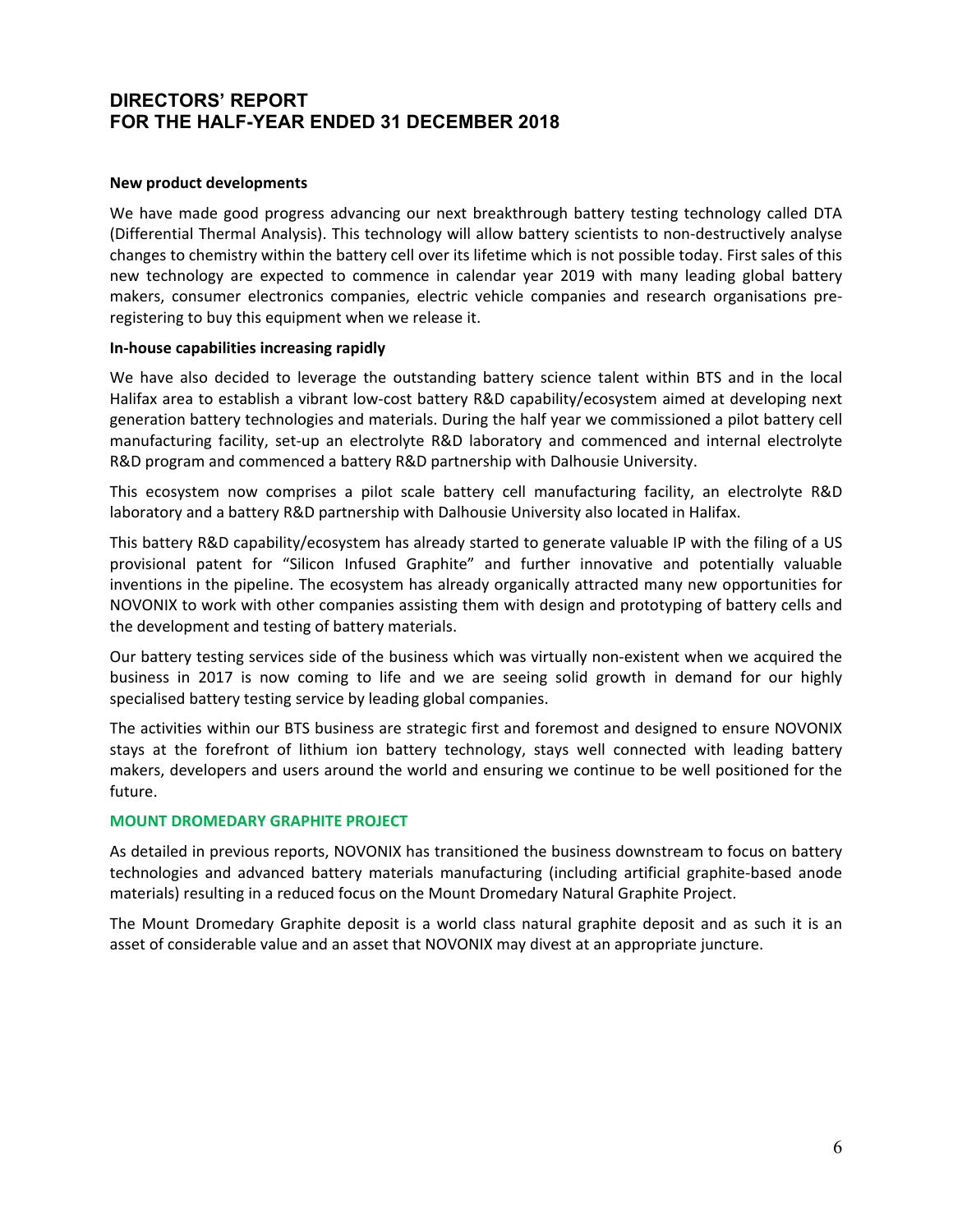#### **New product developments**

We have made good progress advancing our next breakthrough battery testing technology called DTA (Differential Thermal Analysis). This technology will allow battery scientists to non‐destructively analyse changes to chemistry within the battery cell over its lifetime which is not possible today. First sales of this new technology are expected to commence in calendar year 2019 with many leading global battery makers, consumer electronics companies, electric vehicle companies and research organisations pre‐ registering to buy this equipment when we release it.

#### **In‐house capabilities increasing rapidly**

We have also decided to leverage the outstanding battery science talent within BTS and in the local Halifax area to establish a vibrant low-cost battery R&D capability/ecosystem aimed at developing next generation battery technologies and materials. During the half year we commissioned a pilot battery cell manufacturing facility, set‐up an electrolyte R&D laboratory and commenced and internal electrolyte R&D program and commenced a battery R&D partnership with Dalhousie University.

This ecosystem now comprises a pilot scale battery cell manufacturing facility, an electrolyte R&D laboratory and a battery R&D partnership with Dalhousie University also located in Halifax.

This battery R&D capability/ecosystem has already started to generate valuable IP with the filing of a US provisional patent for "Silicon Infused Graphite" and further innovative and potentially valuable inventions in the pipeline. The ecosystem has already organically attracted many new opportunities for NOVONIX to work with other companies assisting them with design and prototyping of battery cells and the development and testing of battery materials.

Our battery testing services side of the business which was virtually non‐existent when we acquired the business in 2017 is now coming to life and we are seeing solid growth in demand for our highly specialised battery testing service by leading global companies.

The activities within our BTS business are strategic first and foremost and designed to ensure NOVONIX stays at the forefront of lithium ion battery technology, stays well connected with leading battery makers, developers and users around the world and ensuring we continue to be well positioned for the future.

#### **MOUNT DROMEDARY GRAPHITE PROJECT**

As detailed in previous reports, NOVONIX has transitioned the business downstream to focus on battery technologies and advanced battery materials manufacturing (including artificial graphite‐based anode materials) resulting in a reduced focus on the Mount Dromedary Natural Graphite Project.

The Mount Dromedary Graphite deposit is a world class natural graphite deposit and as such it is an asset of considerable value and an asset that NOVONIX may divest at an appropriate juncture.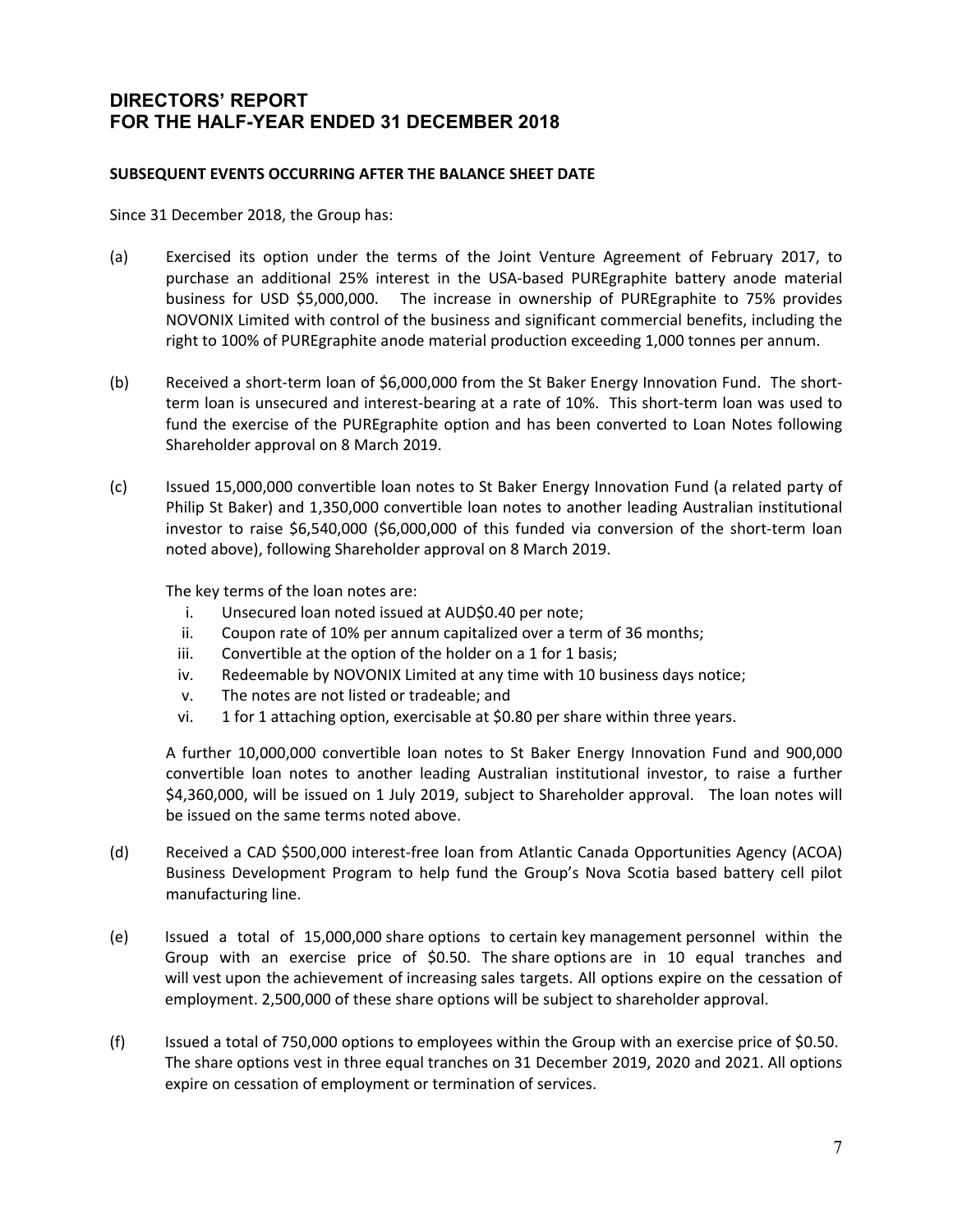#### **SUBSEQUENT EVENTS OCCURRING AFTER THE BALANCE SHEET DATE**

Since 31 December 2018, the Group has:

- (a) Exercised its option under the terms of the Joint Venture Agreement of February 2017, to purchase an additional 25% interest in the USA‐based PUREgraphite battery anode material business for USD \$5,000,000. The increase in ownership of PUREgraphite to 75% provides NOVONIX Limited with control of the business and significant commercial benefits, including the right to 100% of PUREgraphite anode material production exceeding 1,000 tonnes per annum.
- (b) Received a short‐term loan of \$6,000,000 from the St Baker Energy Innovation Fund. The short‐ term loan is unsecured and interest-bearing at a rate of 10%. This short-term loan was used to fund the exercise of the PUREgraphite option and has been converted to Loan Notes following Shareholder approval on 8 March 2019.
- (c) Issued 15,000,000 convertible loan notes to St Baker Energy Innovation Fund (a related party of Philip St Baker) and 1,350,000 convertible loan notes to another leading Australian institutional investor to raise \$6,540,000 (\$6,000,000 of this funded via conversion of the short-term loan noted above), following Shareholder approval on 8 March 2019.

The key terms of the loan notes are:

- i. Unsecured loan noted issued at AUD\$0.40 per note;
- ii. Coupon rate of 10% per annum capitalized over a term of 36 months;
- iii. Convertible at the option of the holder on a 1 for 1 basis;
- iv. Redeemable by NOVONIX Limited at any time with 10 business days notice;
- v. The notes are not listed or tradeable; and
- vi. 1 for 1 attaching option, exercisable at \$0.80 per share within three years.

 A further 10,000,000 convertible loan notes to St Baker Energy Innovation Fund and 900,000 convertible loan notes to another leading Australian institutional investor, to raise a further \$4,360,000, will be issued on 1 July 2019, subject to Shareholder approval. The loan notes will be issued on the same terms noted above.

- (d) Received a CAD \$500,000 interest‐free loan from Atlantic Canada Opportunities Agency (ACOA) Business Development Program to help fund the Group's Nova Scotia based battery cell pilot manufacturing line.
- (e) Issued a total of 15,000,000 share options to certain key management personnel within the Group with an exercise price of \$0.50. The share options are in 10 equal tranches and will vest upon the achievement of increasing sales targets. All options expire on the cessation of employment. 2,500,000 of these share options will be subject to shareholder approval.
- (f) Issued a total of 750,000 options to employees within the Group with an exercise price of \$0.50. The share options vest in three equal tranches on 31 December 2019, 2020 and 2021. All options expire on cessation of employment or termination of services.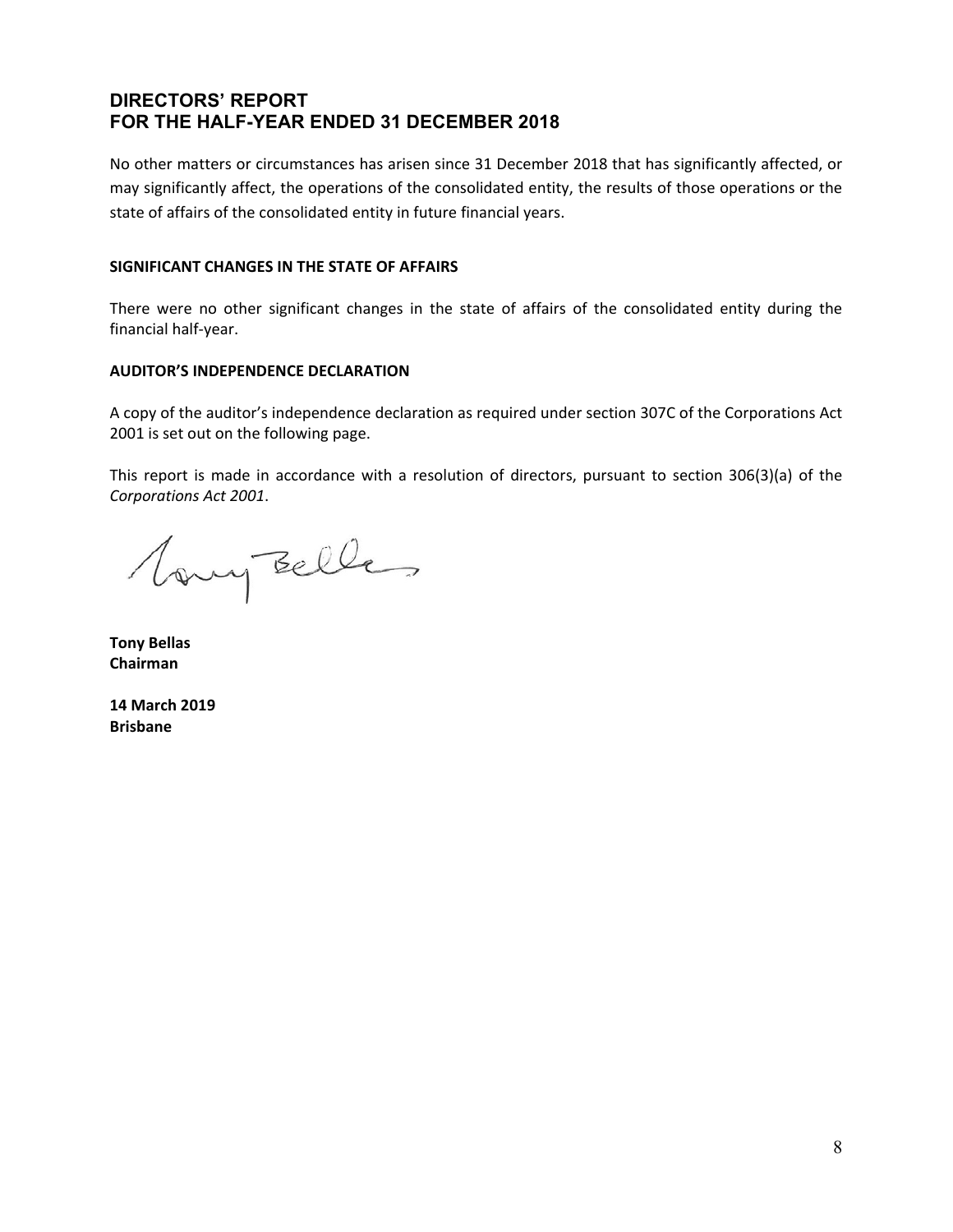No other matters or circumstances has arisen since 31 December 2018 that has significantly affected, or may significantly affect, the operations of the consolidated entity, the results of those operations or the state of affairs of the consolidated entity in future financial years.

#### **SIGNIFICANT CHANGES IN THE STATE OF AFFAIRS**

There were no other significant changes in the state of affairs of the consolidated entity during the financial half‐year.

#### **AUDITOR'S INDEPENDENCE DECLARATION**

A copy of the auditor's independence declaration as required under section 307C of the Corporations Act 2001 is set out on the following page.

This report is made in accordance with a resolution of directors, pursuant to section 306(3)(a) of the *Corporations Act 2001*.

Vany Belles

**Tony Bellas Chairman** 

**14 March 2019 Brisbane**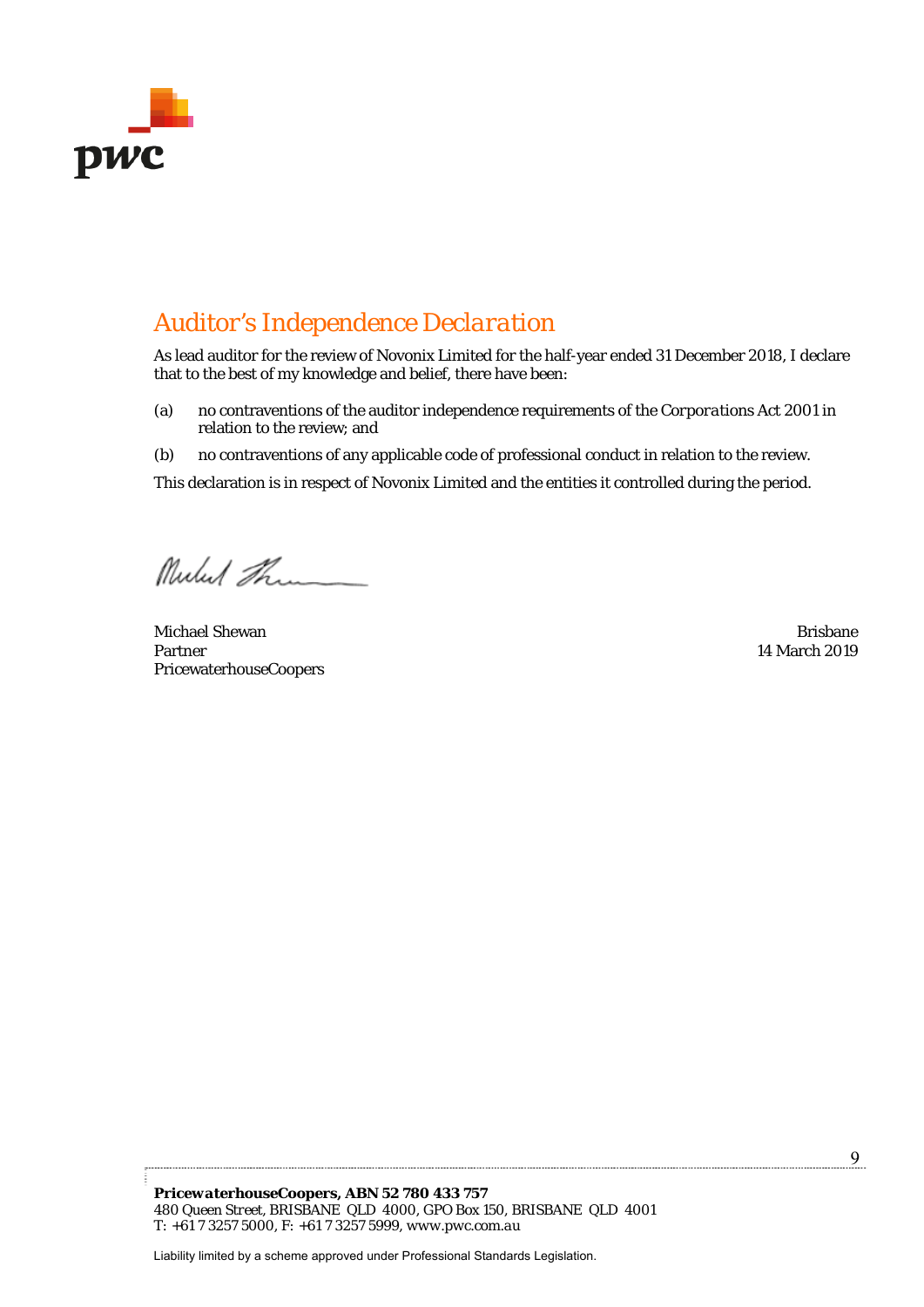

# *Auditor's Independence Declaration*

As lead auditor for the review of Novonix Limited for the half-year ended 31 December 2018, I declare that to the best of my knowledge and belief, there have been:

- (a) no contraventions of the auditor independence requirements of the *Corporations Act 2001* in relation to the review; and
- (b) no contraventions of any applicable code of professional conduct in relation to the review.

This declaration is in respect of Novonix Limited and the entities it controlled during the period.

Mulut Them

Michael Shewan Brisbane Brisbane Brisbane Brisbane Brisbane Brisbane Brisbane Partner PricewaterhouseCoopers

14 March 2019

*PricewaterhouseCoopers, ABN 52 780 433 757 480 Queen Street, BRISBANE QLD 4000, GPO Box 150, BRISBANE QLD 4001 T: +61 7 3257 5000, F: +61 7 3257 5999, www.pwc.com.au* 

Liability limited by a scheme approved under Professional Standards Legislation.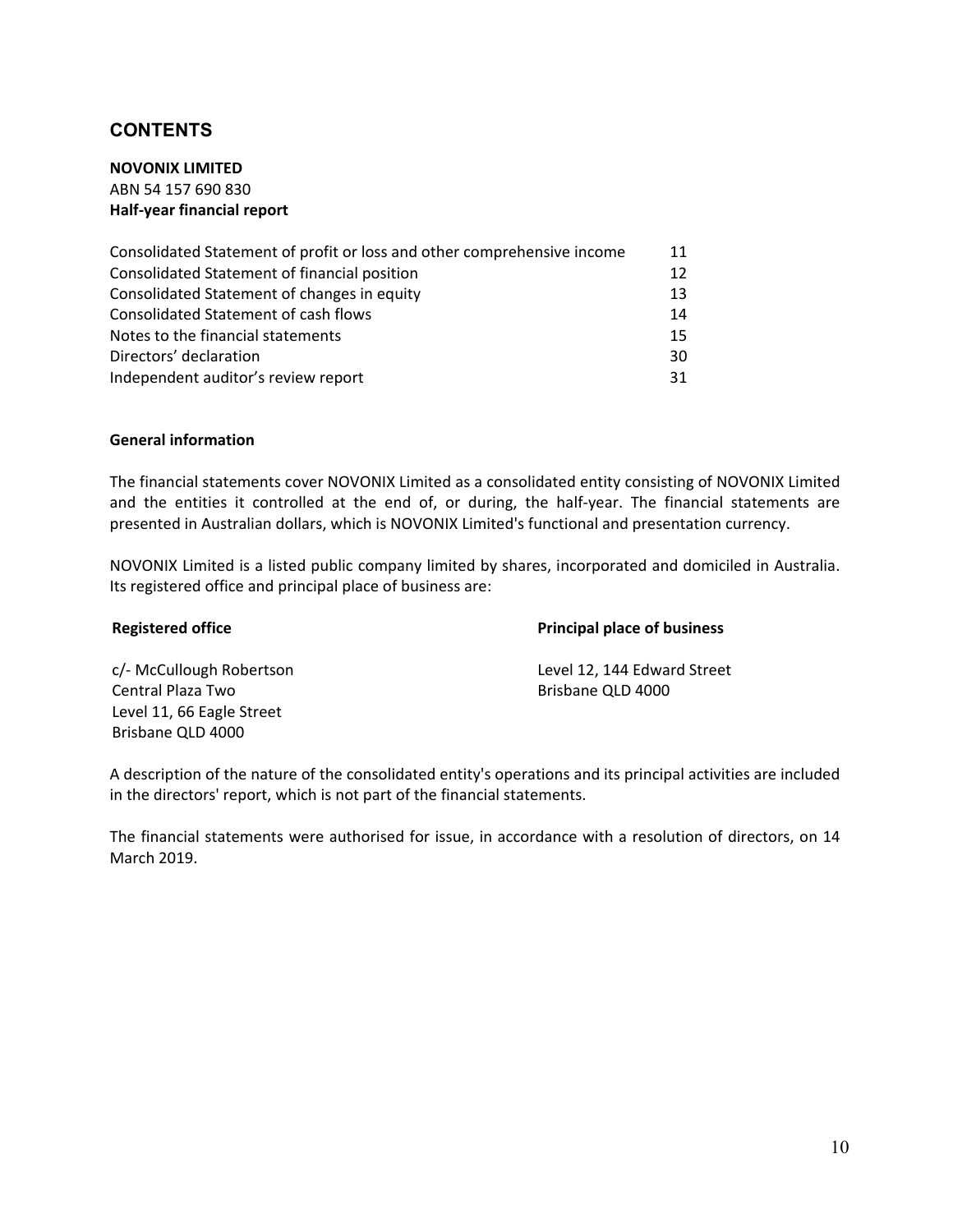# **CONTENTS**

**NOVONIX LIMITED** 

ABN 54 157 690 830 **Half‐year financial report** 

| Consolidated Statement of profit or loss and other comprehensive income | 11 |
|-------------------------------------------------------------------------|----|
| Consolidated Statement of financial position                            | 12 |
| Consolidated Statement of changes in equity                             | 13 |
| Consolidated Statement of cash flows                                    | 14 |
| Notes to the financial statements                                       | 15 |
| Directors' declaration                                                  | 30 |
| Independent auditor's review report                                     | 31 |

#### **General information**

The financial statements cover NOVONIX Limited as a consolidated entity consisting of NOVONIX Limited and the entities it controlled at the end of, or during, the half-year. The financial statements are presented in Australian dollars, which is NOVONIX Limited's functional and presentation currency.

NOVONIX Limited is a listed public company limited by shares, incorporated and domiciled in Australia. Its registered office and principal place of business are:

**Registered office Principal place of business** 

Central Plaza Two **CENTRAL CENTRAL CENTRAL PLACE CENTRAL CENTRAL CENTRAL CENTRAL CENTRAL CENTRAL CENTRAL CENTRAL CENTRAL CENTRAL CENTRAL CENTRAL CENTRAL CENTRAL CENTRAL CENTRAL CENTRAL CENTRAL CENTRAL CENTRAL CENTRAL CENTR** Level 11, 66 Eagle Street Brisbane QLD 4000

c/‐ McCullough Robertson Level 12, 144 Edward Street

A description of the nature of the consolidated entity's operations and its principal activities are included in the directors' report, which is not part of the financial statements.

The financial statements were authorised for issue, in accordance with a resolution of directors, on 14 March 2019.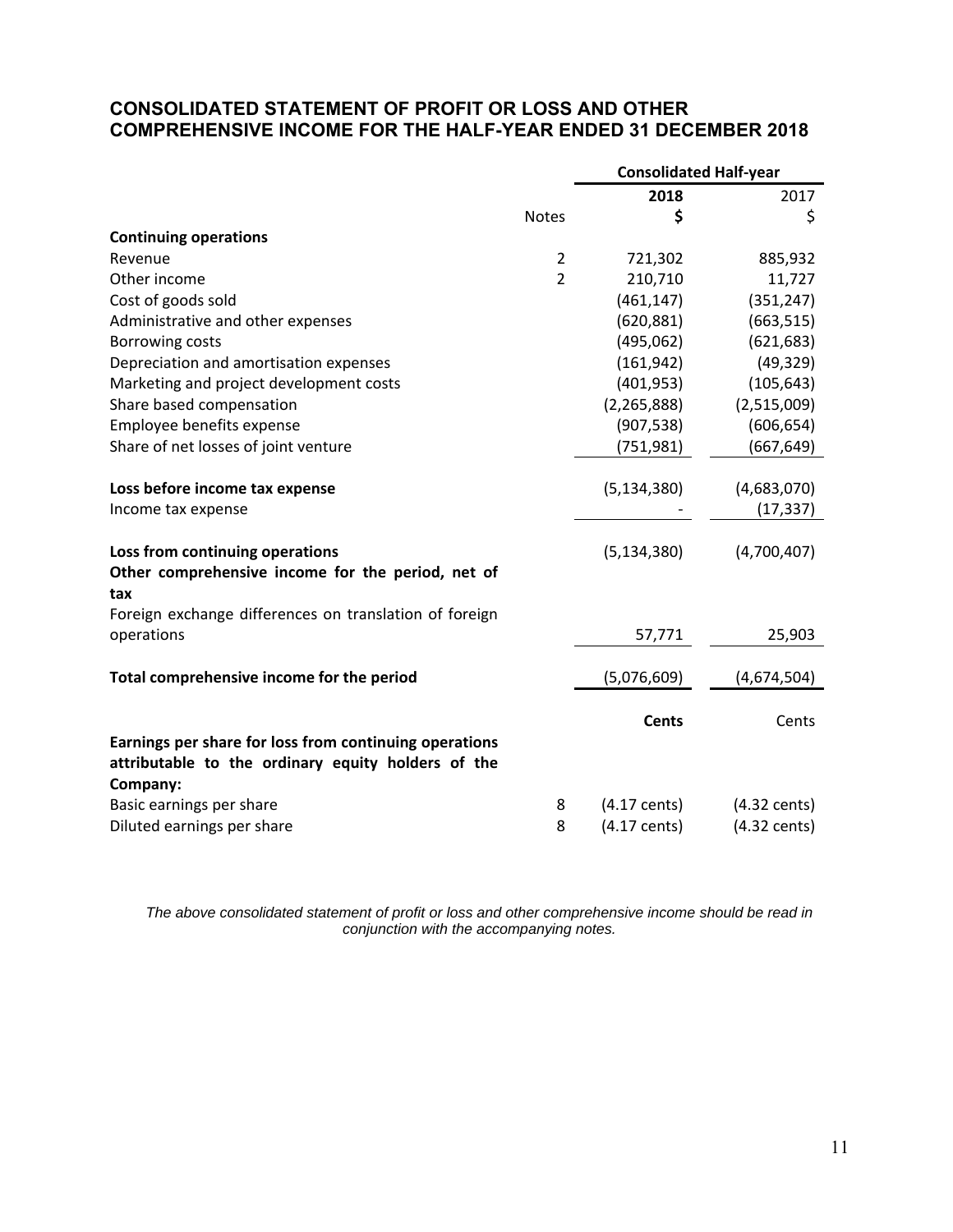# **CONSOLIDATED STATEMENT OF PROFIT OR LOSS AND OTHER COMPREHENSIVE INCOME FOR THE HALF-YEAR ENDED 31 DECEMBER 2018**

|                                                                                                                          |                | <b>Consolidated Half-year</b> |                        |  |
|--------------------------------------------------------------------------------------------------------------------------|----------------|-------------------------------|------------------------|--|
|                                                                                                                          |                | 2018                          | 2017                   |  |
|                                                                                                                          | <b>Notes</b>   | \$                            | \$                     |  |
| <b>Continuing operations</b>                                                                                             |                |                               |                        |  |
| Revenue                                                                                                                  | $\overline{2}$ | 721,302                       | 885,932                |  |
| Other income                                                                                                             | $\overline{2}$ | 210,710                       | 11,727                 |  |
| Cost of goods sold                                                                                                       |                | (461, 147)                    | (351, 247)             |  |
| Administrative and other expenses                                                                                        |                | (620, 881)                    | (663, 515)             |  |
| Borrowing costs                                                                                                          |                | (495,062)                     | (621, 683)             |  |
| Depreciation and amortisation expenses                                                                                   |                | (161, 942)                    | (49, 329)              |  |
| Marketing and project development costs                                                                                  |                | (401, 953)                    | (105, 643)             |  |
| Share based compensation                                                                                                 |                | (2, 265, 888)                 | (2,515,009)            |  |
| Employee benefits expense                                                                                                |                | (907, 538)                    | (606, 654)             |  |
| Share of net losses of joint venture                                                                                     |                | (751, 981)                    | (667, 649)             |  |
| Loss before income tax expense                                                                                           |                | (5, 134, 380)                 | (4,683,070)            |  |
| Income tax expense                                                                                                       |                |                               | (17, 337)              |  |
| Loss from continuing operations                                                                                          |                | (5, 134, 380)                 | (4,700,407)            |  |
| Other comprehensive income for the period, net of<br>tax                                                                 |                |                               |                        |  |
| Foreign exchange differences on translation of foreign                                                                   |                |                               |                        |  |
| operations                                                                                                               |                | 57,771                        | 25,903                 |  |
| Total comprehensive income for the period                                                                                |                | (5,076,609)                   | (4,674,504)            |  |
|                                                                                                                          |                | <b>Cents</b>                  | Cents                  |  |
| Earnings per share for loss from continuing operations<br>attributable to the ordinary equity holders of the<br>Company: |                |                               |                        |  |
| Basic earnings per share                                                                                                 | 8              | $(4.17 \text{ cents})$        | $(4.32 \text{ cents})$ |  |
| Diluted earnings per share                                                                                               | 8              | $(4.17 \text{ cents})$        | $(4.32 \text{ cents})$ |  |

*The above consolidated statement of profit or loss and other comprehensive income should be read in conjunction with the accompanying notes.*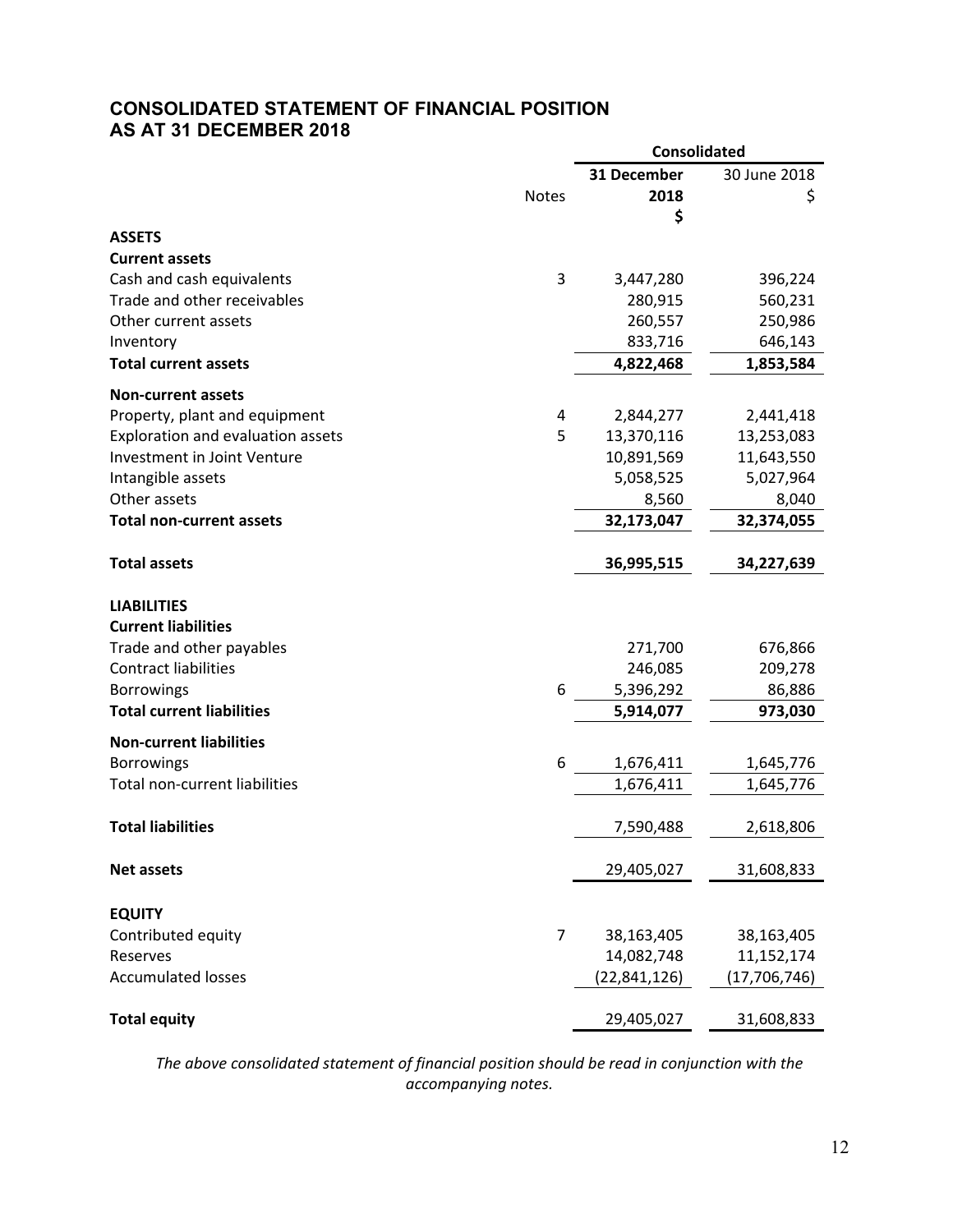# **CONSOLIDATED STATEMENT OF FINANCIAL POSITION AS AT 31 DECEMBER 2018**

|                                      |                | <b>Consolidated</b> |                |  |
|--------------------------------------|----------------|---------------------|----------------|--|
|                                      |                | 31 December         | 30 June 2018   |  |
|                                      | <b>Notes</b>   | 2018                | \$             |  |
|                                      |                | \$                  |                |  |
| <b>ASSETS</b>                        |                |                     |                |  |
| <b>Current assets</b>                |                |                     |                |  |
| Cash and cash equivalents            | 3              | 3,447,280           | 396,224        |  |
| Trade and other receivables          |                | 280,915             | 560,231        |  |
| Other current assets                 |                | 260,557             | 250,986        |  |
| Inventory                            |                | 833,716             | 646,143        |  |
| <b>Total current assets</b>          |                | 4,822,468           | 1,853,584      |  |
| <b>Non-current assets</b>            |                |                     |                |  |
| Property, plant and equipment        | 4              | 2,844,277           | 2,441,418      |  |
| Exploration and evaluation assets    | 5              | 13,370,116          | 13,253,083     |  |
| Investment in Joint Venture          |                | 10,891,569          | 11,643,550     |  |
| Intangible assets                    |                | 5,058,525           | 5,027,964      |  |
| Other assets                         |                | 8,560               | 8,040          |  |
| <b>Total non-current assets</b>      |                | 32,173,047          | 32,374,055     |  |
|                                      |                |                     |                |  |
| <b>Total assets</b>                  |                | 36,995,515          | 34,227,639     |  |
| <b>LIABILITIES</b>                   |                |                     |                |  |
| <b>Current liabilities</b>           |                |                     |                |  |
| Trade and other payables             |                | 271,700             | 676,866        |  |
| <b>Contract liabilities</b>          |                | 246,085             | 209,278        |  |
| <b>Borrowings</b>                    | 6              | 5,396,292           | 86,886         |  |
| <b>Total current liabilities</b>     |                | 5,914,077           | 973,030        |  |
| <b>Non-current liabilities</b>       |                |                     |                |  |
| <b>Borrowings</b>                    | 6              | 1,676,411           | 1,645,776      |  |
| <b>Total non-current liabilities</b> |                | 1,676,411           | 1,645,776      |  |
|                                      |                |                     |                |  |
| <b>Total liabilities</b>             |                | 7,590,488           | 2,618,806      |  |
|                                      |                |                     |                |  |
| <b>Net assets</b>                    |                | 29,405,027          | 31,608,833     |  |
| <b>EQUITY</b>                        |                |                     |                |  |
| Contributed equity                   | $\overline{7}$ | 38,163,405          | 38,163,405     |  |
| Reserves                             |                | 14,082,748          | 11,152,174     |  |
| <b>Accumulated losses</b>            |                | (22, 841, 126)      | (17, 706, 746) |  |
|                                      |                |                     |                |  |
| <b>Total equity</b>                  |                | 29,405,027          | 31,608,833     |  |
|                                      |                |                     |                |  |

*The above consolidated statement of financial position should be read in conjunction with the accompanying notes.*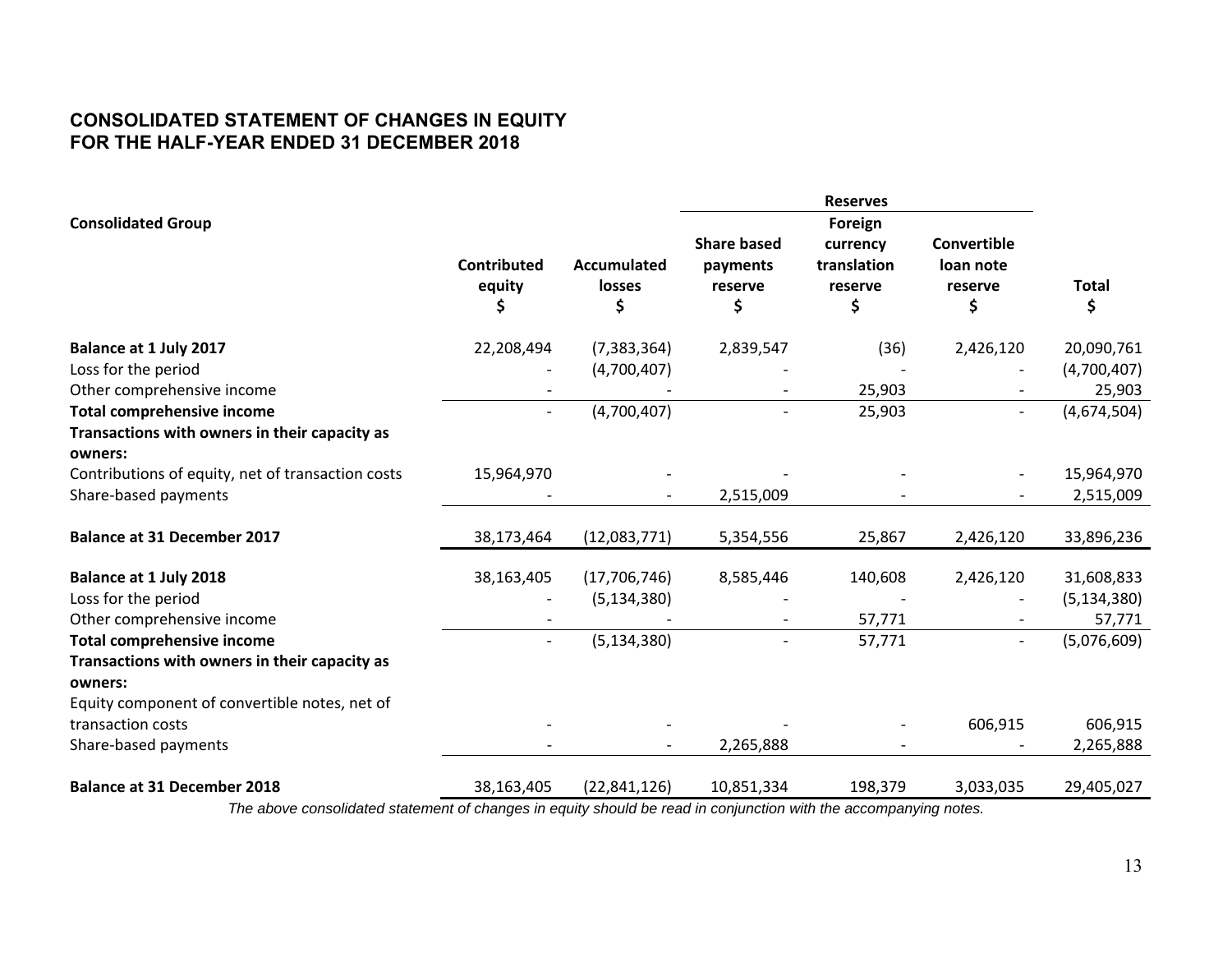# **CONSOLIDATED STATEMENT OF CHANGES IN EQUITY FOR THE HALF-YEAR ENDED 31 DECEMBER 2018**

|                                                          |                                   |                                    |                                                 | <b>Reserves</b>                          |                                           |                    |
|----------------------------------------------------------|-----------------------------------|------------------------------------|-------------------------------------------------|------------------------------------------|-------------------------------------------|--------------------|
| <b>Consolidated Group</b>                                |                                   |                                    |                                                 | Foreign                                  |                                           |                    |
|                                                          | <b>Contributed</b><br>equity<br>Ş | <b>Accumulated</b><br>losses<br>\$ | <b>Share based</b><br>payments<br>reserve<br>\$ | currency<br>translation<br>reserve<br>\$ | Convertible<br>loan note<br>reserve<br>\$ | <b>Total</b><br>\$ |
|                                                          |                                   |                                    |                                                 |                                          |                                           |                    |
| Balance at 1 July 2017                                   | 22,208,494                        | (7, 383, 364)                      | 2,839,547                                       | (36)                                     | 2,426,120                                 | 20,090,761         |
| Loss for the period                                      |                                   | (4,700,407)                        |                                                 |                                          |                                           | (4,700,407)        |
| Other comprehensive income                               |                                   |                                    |                                                 | 25,903                                   |                                           | 25,903             |
| <b>Total comprehensive income</b>                        |                                   | (4,700,407)                        |                                                 | 25,903                                   | $\overline{\phantom{0}}$                  | (4,674,504)        |
| Transactions with owners in their capacity as<br>owners: |                                   |                                    |                                                 |                                          |                                           |                    |
| Contributions of equity, net of transaction costs        | 15,964,970                        |                                    |                                                 |                                          |                                           | 15,964,970         |
| Share-based payments                                     |                                   |                                    | 2,515,009                                       |                                          |                                           | 2,515,009          |
| <b>Balance at 31 December 2017</b>                       | 38,173,464                        | (12,083,771)                       | 5,354,556                                       | 25,867                                   | 2,426,120                                 | 33,896,236         |
| Balance at 1 July 2018                                   | 38,163,405                        | (17, 706, 746)                     | 8,585,446                                       | 140,608                                  | 2,426,120                                 | 31,608,833         |
| Loss for the period                                      |                                   | (5, 134, 380)                      |                                                 |                                          |                                           | (5, 134, 380)      |
| Other comprehensive income                               |                                   |                                    |                                                 | 57,771                                   |                                           | 57,771             |
| <b>Total comprehensive income</b>                        |                                   | (5, 134, 380)                      |                                                 | 57,771                                   | $\overline{\phantom{a}}$                  | (5,076,609)        |
| Transactions with owners in their capacity as<br>owners: |                                   |                                    |                                                 |                                          |                                           |                    |
| Equity component of convertible notes, net of            |                                   |                                    |                                                 |                                          |                                           |                    |
| transaction costs                                        |                                   |                                    |                                                 |                                          | 606,915                                   | 606,915            |
| Share-based payments                                     |                                   |                                    | 2,265,888                                       |                                          |                                           | 2,265,888          |
| <b>Balance at 31 December 2018</b>                       | 38,163,405                        | (22, 841, 126)                     | 10,851,334                                      | 198,379                                  | 3,033,035                                 | 29,405,027         |
|                                                          |                                   |                                    |                                                 |                                          |                                           |                    |

*The above consolidated statement of changes in equity should be read in conjunction with the accompanying notes.*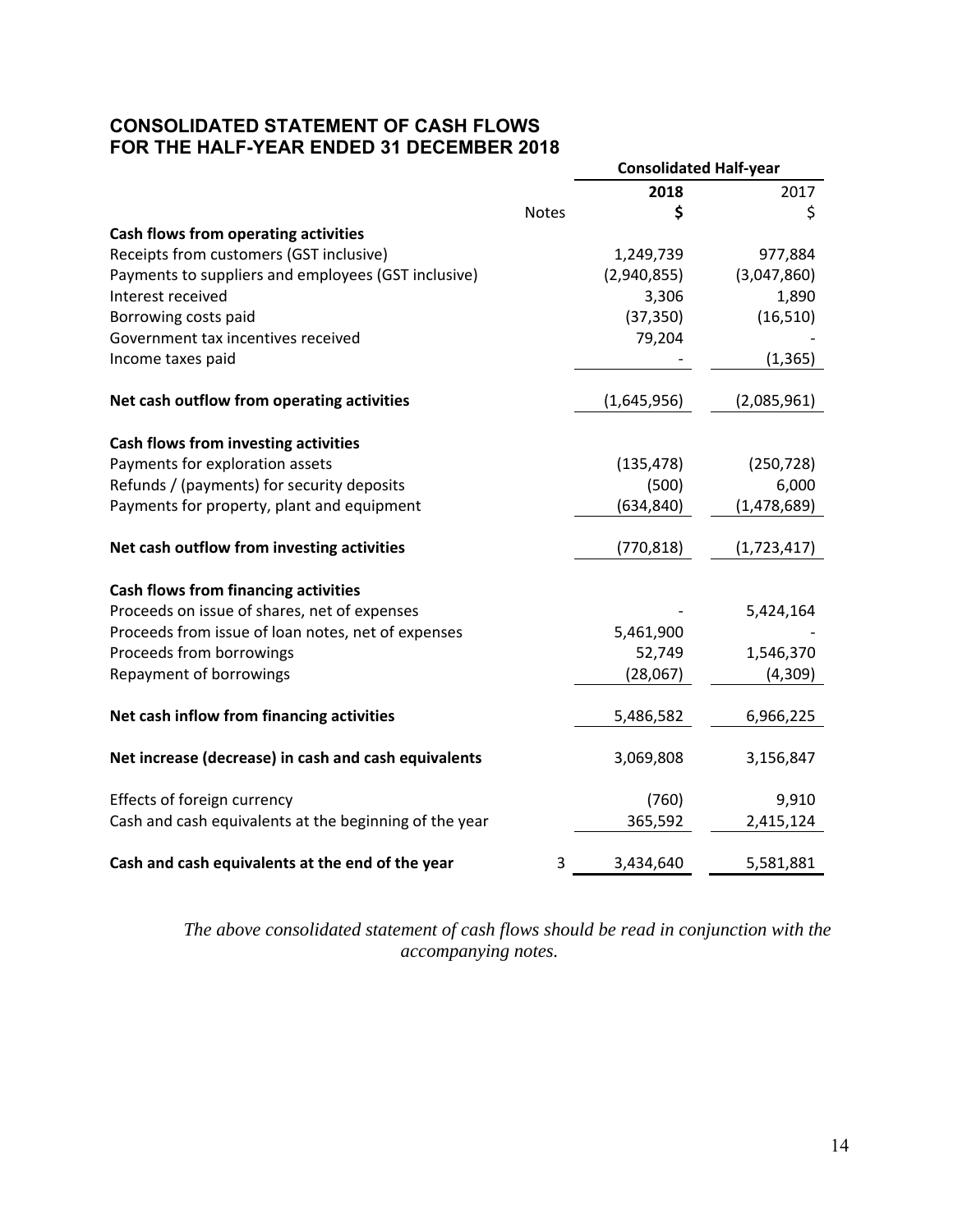# **CONSOLIDATED STATEMENT OF CASH FLOWS FOR THE HALF-YEAR ENDED 31 DECEMBER 2018**

|                                                        |              | <b>Consolidated Half-year</b> |             |  |
|--------------------------------------------------------|--------------|-------------------------------|-------------|--|
|                                                        |              | 2018                          | 2017        |  |
|                                                        | <b>Notes</b> | \$                            | \$          |  |
| <b>Cash flows from operating activities</b>            |              |                               |             |  |
| Receipts from customers (GST inclusive)                |              | 1,249,739                     | 977,884     |  |
| Payments to suppliers and employees (GST inclusive)    |              | (2,940,855)                   | (3,047,860) |  |
| Interest received                                      |              | 3,306                         | 1,890       |  |
| Borrowing costs paid                                   |              | (37, 350)                     | (16, 510)   |  |
| Government tax incentives received                     |              | 79,204                        |             |  |
| Income taxes paid                                      |              |                               | (1, 365)    |  |
| Net cash outflow from operating activities             |              | (1,645,956)                   | (2,085,961) |  |
| Cash flows from investing activities                   |              |                               |             |  |
| Payments for exploration assets                        |              | (135, 478)                    | (250, 728)  |  |
| Refunds / (payments) for security deposits             |              | (500)                         | 6,000       |  |
| Payments for property, plant and equipment             |              | (634, 840)                    | (1,478,689) |  |
| Net cash outflow from investing activities             |              | (770, 818)                    | (1,723,417) |  |
| <b>Cash flows from financing activities</b>            |              |                               |             |  |
| Proceeds on issue of shares, net of expenses           |              |                               | 5,424,164   |  |
| Proceeds from issue of loan notes, net of expenses     |              | 5,461,900                     |             |  |
| Proceeds from borrowings                               |              | 52,749                        | 1,546,370   |  |
| Repayment of borrowings                                |              | (28,067)                      | (4,309)     |  |
| Net cash inflow from financing activities              |              | 5,486,582                     | 6,966,225   |  |
| Net increase (decrease) in cash and cash equivalents   |              | 3,069,808                     | 3,156,847   |  |
| Effects of foreign currency                            |              | (760)                         | 9,910       |  |
| Cash and cash equivalents at the beginning of the year |              | 365,592                       | 2,415,124   |  |
| Cash and cash equivalents at the end of the year       | 3            | 3,434,640                     | 5,581,881   |  |

*The above consolidated statement of cash flows should be read in conjunction with the accompanying notes.*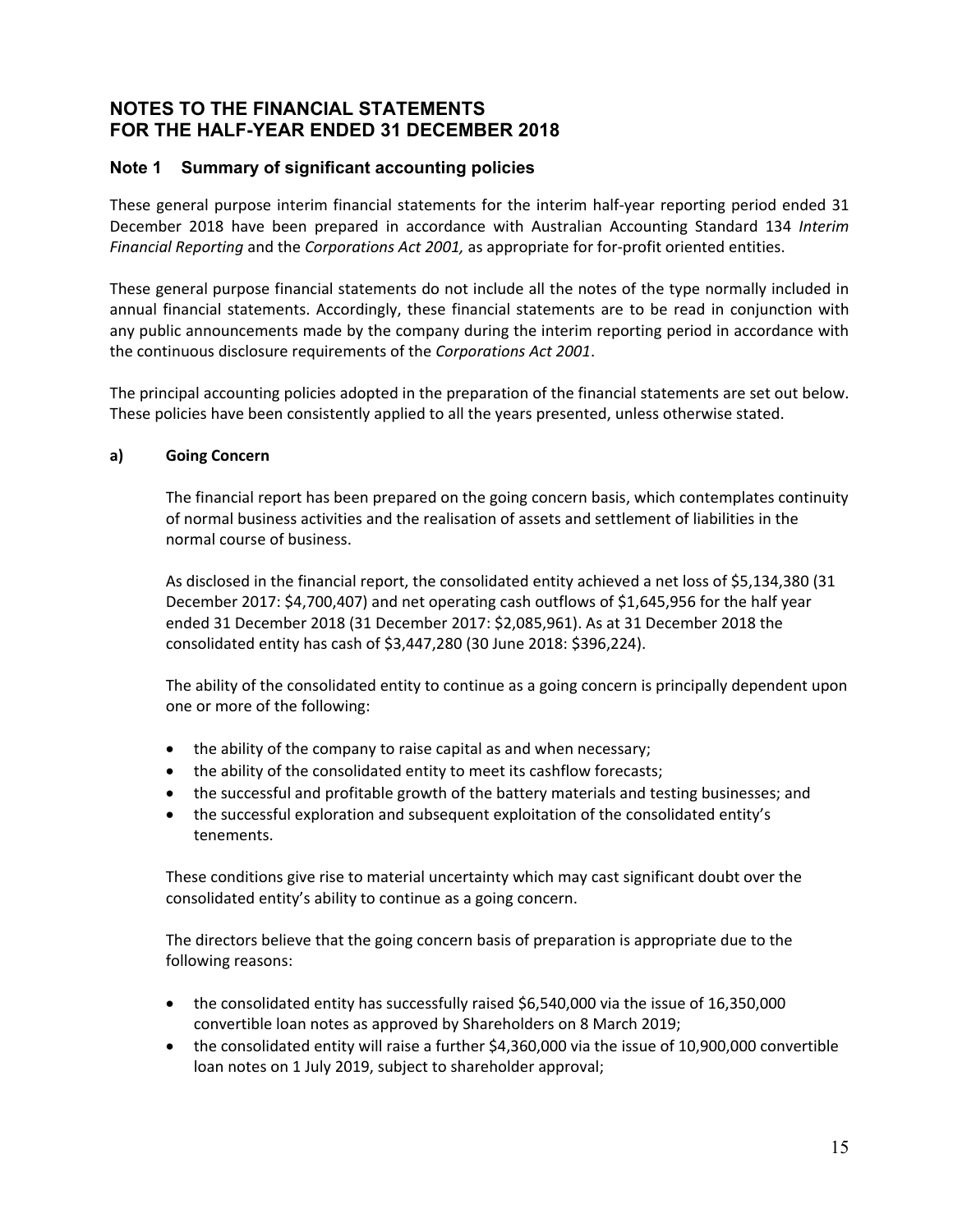# **Note 1 Summary of significant accounting policies**

These general purpose interim financial statements for the interim half-year reporting period ended 31 December 2018 have been prepared in accordance with Australian Accounting Standard 134 *Interim Financial Reporting* and the *Corporations Act 2001,* as appropriate for for‐profit oriented entities.

These general purpose financial statements do not include all the notes of the type normally included in annual financial statements. Accordingly, these financial statements are to be read in conjunction with any public announcements made by the company during the interim reporting period in accordance with the continuous disclosure requirements of the *Corporations Act 2001*.

The principal accounting policies adopted in the preparation of the financial statements are set out below. These policies have been consistently applied to all the years presented, unless otherwise stated.

#### **a) Going Concern**

The financial report has been prepared on the going concern basis, which contemplates continuity of normal business activities and the realisation of assets and settlement of liabilities in the normal course of business.

As disclosed in the financial report, the consolidated entity achieved a net loss of \$5,134,380 (31 December 2017: \$4,700,407) and net operating cash outflows of \$1,645,956 for the half year ended 31 December 2018 (31 December 2017: \$2,085,961). As at 31 December 2018 the consolidated entity has cash of \$3,447,280 (30 June 2018: \$396,224).

The ability of the consolidated entity to continue as a going concern is principally dependent upon one or more of the following:

- the ability of the company to raise capital as and when necessary;
- the ability of the consolidated entity to meet its cashflow forecasts;
- the successful and profitable growth of the battery materials and testing businesses; and
- the successful exploration and subsequent exploitation of the consolidated entity's tenements.

These conditions give rise to material uncertainty which may cast significant doubt over the consolidated entity's ability to continue as a going concern.

The directors believe that the going concern basis of preparation is appropriate due to the following reasons:

- the consolidated entity has successfully raised \$6,540,000 via the issue of 16,350,000 convertible loan notes as approved by Shareholders on 8 March 2019;
- the consolidated entity will raise a further \$4,360,000 via the issue of 10,900,000 convertible loan notes on 1 July 2019, subject to shareholder approval;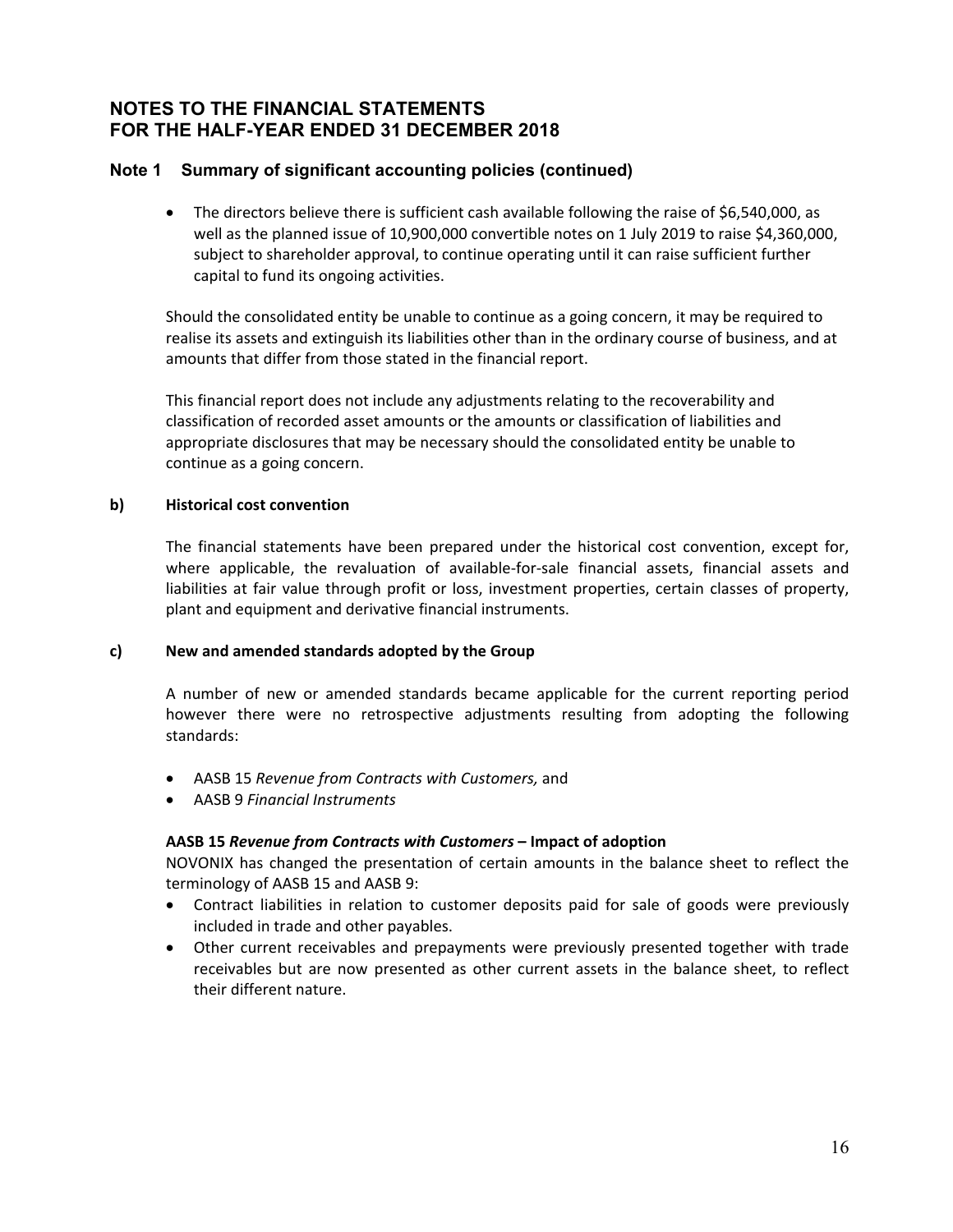### **Note 1 Summary of significant accounting policies (continued)**

 The directors believe there is sufficient cash available following the raise of \$6,540,000, as well as the planned issue of 10,900,000 convertible notes on 1 July 2019 to raise \$4,360,000, subject to shareholder approval, to continue operating until it can raise sufficient further capital to fund its ongoing activities.

Should the consolidated entity be unable to continue as a going concern, it may be required to realise its assets and extinguish its liabilities other than in the ordinary course of business, and at amounts that differ from those stated in the financial report.

This financial report does not include any adjustments relating to the recoverability and classification of recorded asset amounts or the amounts or classification of liabilities and appropriate disclosures that may be necessary should the consolidated entity be unable to continue as a going concern.

#### **b) Historical cost convention**

The financial statements have been prepared under the historical cost convention, except for, where applicable, the revaluation of available-for-sale financial assets, financial assets and liabilities at fair value through profit or loss, investment properties, certain classes of property, plant and equipment and derivative financial instruments.

#### **c) New and amended standards adopted by the Group**

A number of new or amended standards became applicable for the current reporting period however there were no retrospective adjustments resulting from adopting the following standards:

- AASB 15 *Revenue from Contracts with Customers,* and
- AASB 9 *Financial Instruments*

#### **AASB 15** *Revenue from Contracts with Customers* **– Impact of adoption**

NOVONIX has changed the presentation of certain amounts in the balance sheet to reflect the terminology of AASB 15 and AASB 9:

- Contract liabilities in relation to customer deposits paid for sale of goods were previously included in trade and other payables.
- Other current receivables and prepayments were previously presented together with trade receivables but are now presented as other current assets in the balance sheet, to reflect their different nature.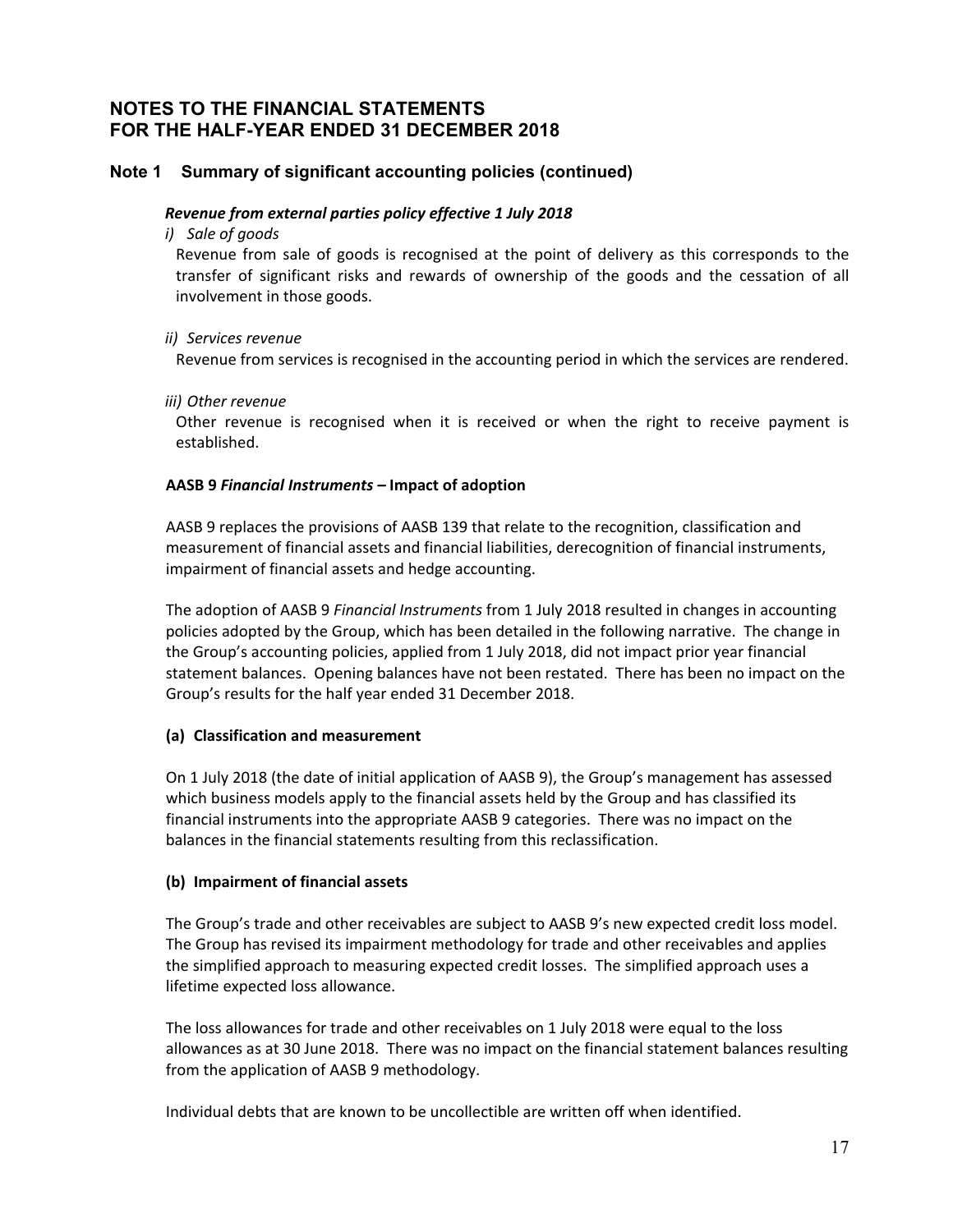### **Note 1 Summary of significant accounting policies (continued)**

#### *Revenue from external parties policy effective 1 July 2018*

*i) Sale of goods*

Revenue from sale of goods is recognised at the point of delivery as this corresponds to the transfer of significant risks and rewards of ownership of the goods and the cessation of all involvement in those goods.

#### *ii) Services revenue*

Revenue from services is recognised in the accounting period in which the services are rendered.

*iii) Other revenue*

Other revenue is recognised when it is received or when the right to receive payment is established.

#### **AASB 9** *Financial Instruments –* **Impact of adoption**

AASB 9 replaces the provisions of AASB 139 that relate to the recognition, classification and measurement of financial assets and financial liabilities, derecognition of financial instruments, impairment of financial assets and hedge accounting.

The adoption of AASB 9 *Financial Instruments* from 1 July 2018 resulted in changes in accounting policies adopted by the Group, which has been detailed in the following narrative. The change in the Group's accounting policies, applied from 1 July 2018, did not impact prior year financial statement balances. Opening balances have not been restated. There has been no impact on the Group's results for the half year ended 31 December 2018.

#### **(a) Classification and measurement**

On 1 July 2018 (the date of initial application of AASB 9), the Group's management has assessed which business models apply to the financial assets held by the Group and has classified its financial instruments into the appropriate AASB 9 categories. There was no impact on the balances in the financial statements resulting from this reclassification.

#### **(b) Impairment of financial assets**

The Group's trade and other receivables are subject to AASB 9's new expected credit loss model. The Group has revised its impairment methodology for trade and other receivables and applies the simplified approach to measuring expected credit losses. The simplified approach uses a lifetime expected loss allowance.

The loss allowances for trade and other receivables on 1 July 2018 were equal to the loss allowances as at 30 June 2018. There was no impact on the financial statement balances resulting from the application of AASB 9 methodology.

Individual debts that are known to be uncollectible are written off when identified.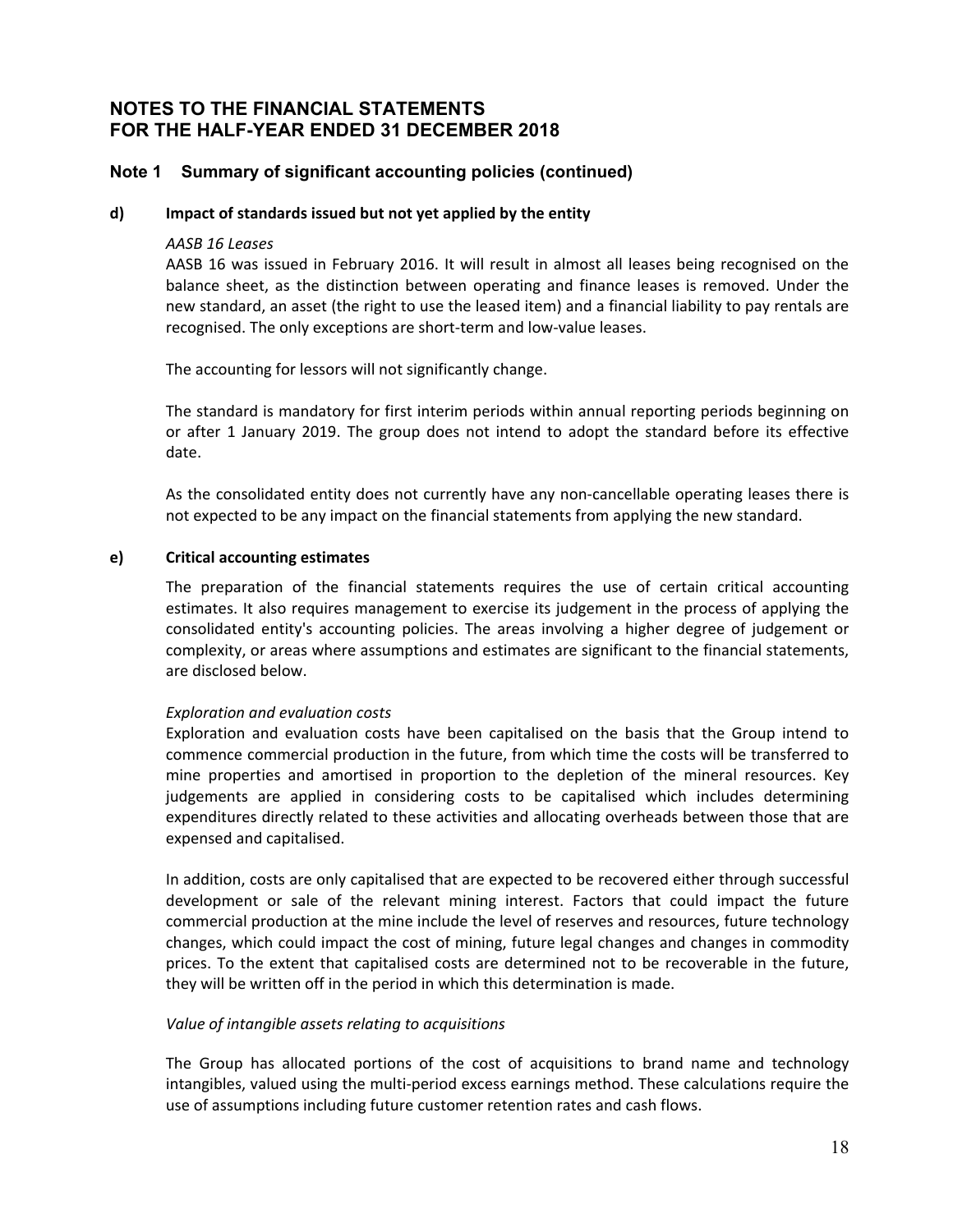#### **Note 1 Summary of significant accounting policies (continued)**

#### **d) Impact of standards issued but not yet applied by the entity**

#### *AASB 16 Leases*

AASB 16 was issued in February 2016. It will result in almost all leases being recognised on the balance sheet, as the distinction between operating and finance leases is removed. Under the new standard, an asset (the right to use the leased item) and a financial liability to pay rentals are recognised. The only exceptions are short‐term and low‐value leases.

The accounting for lessors will not significantly change.

The standard is mandatory for first interim periods within annual reporting periods beginning on or after 1 January 2019. The group does not intend to adopt the standard before its effective date.

As the consolidated entity does not currently have any non-cancellable operating leases there is not expected to be any impact on the financial statements from applying the new standard.

#### **e) Critical accounting estimates**

The preparation of the financial statements requires the use of certain critical accounting estimates. It also requires management to exercise its judgement in the process of applying the consolidated entity's accounting policies. The areas involving a higher degree of judgement or complexity, or areas where assumptions and estimates are significant to the financial statements, are disclosed below.

#### *Exploration and evaluation costs*

Exploration and evaluation costs have been capitalised on the basis that the Group intend to commence commercial production in the future, from which time the costs will be transferred to mine properties and amortised in proportion to the depletion of the mineral resources. Key judgements are applied in considering costs to be capitalised which includes determining expenditures directly related to these activities and allocating overheads between those that are expensed and capitalised.

In addition, costs are only capitalised that are expected to be recovered either through successful development or sale of the relevant mining interest. Factors that could impact the future commercial production at the mine include the level of reserves and resources, future technology changes, which could impact the cost of mining, future legal changes and changes in commodity prices. To the extent that capitalised costs are determined not to be recoverable in the future, they will be written off in the period in which this determination is made.

#### *Value of intangible assets relating to acquisitions*

The Group has allocated portions of the cost of acquisitions to brand name and technology intangibles, valued using the multi‐period excess earnings method. These calculations require the use of assumptions including future customer retention rates and cash flows.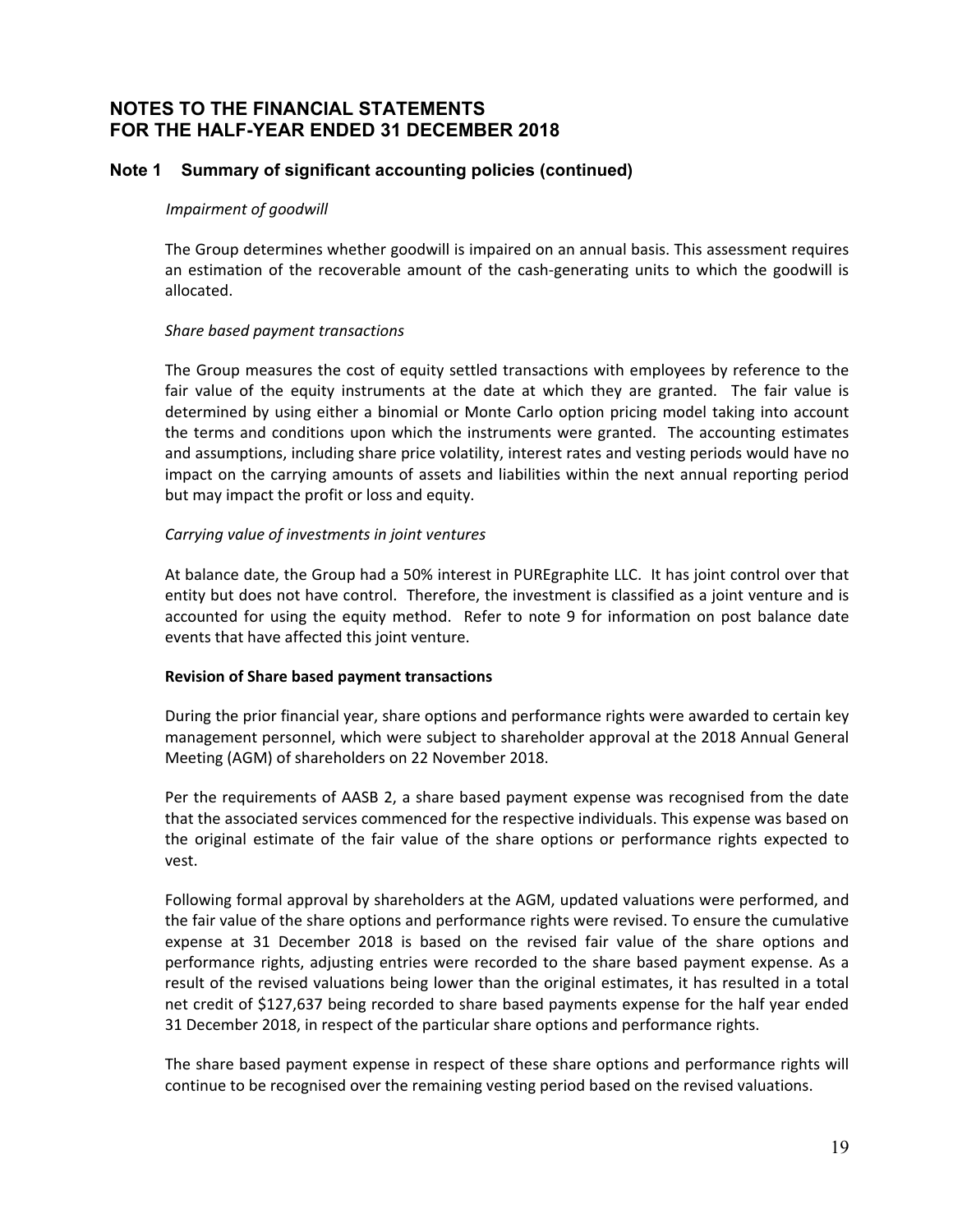### **Note 1 Summary of significant accounting policies (continued)**

#### *Impairment of goodwill*

The Group determines whether goodwill is impaired on an annual basis. This assessment requires an estimation of the recoverable amount of the cash-generating units to which the goodwill is allocated.

#### *Share based payment transactions*

The Group measures the cost of equity settled transactions with employees by reference to the fair value of the equity instruments at the date at which they are granted. The fair value is determined by using either a binomial or Monte Carlo option pricing model taking into account the terms and conditions upon which the instruments were granted. The accounting estimates and assumptions, including share price volatility, interest rates and vesting periods would have no impact on the carrying amounts of assets and liabilities within the next annual reporting period but may impact the profit or loss and equity.

#### *Carrying value of investments in joint ventures*

At balance date, the Group had a 50% interest in PUREgraphite LLC. It has joint control over that entity but does not have control. Therefore, the investment is classified as a joint venture and is accounted for using the equity method. Refer to note 9 for information on post balance date events that have affected this joint venture.

#### **Revision of Share based payment transactions**

During the prior financial year, share options and performance rights were awarded to certain key management personnel, which were subject to shareholder approval at the 2018 Annual General Meeting (AGM) of shareholders on 22 November 2018.

Per the requirements of AASB 2, a share based payment expense was recognised from the date that the associated services commenced for the respective individuals. This expense was based on the original estimate of the fair value of the share options or performance rights expected to vest.

Following formal approval by shareholders at the AGM, updated valuations were performed, and the fair value of the share options and performance rights were revised. To ensure the cumulative expense at 31 December 2018 is based on the revised fair value of the share options and performance rights, adjusting entries were recorded to the share based payment expense. As a result of the revised valuations being lower than the original estimates, it has resulted in a total net credit of \$127,637 being recorded to share based payments expense for the half year ended 31 December 2018, in respect of the particular share options and performance rights.

The share based payment expense in respect of these share options and performance rights will continue to be recognised over the remaining vesting period based on the revised valuations.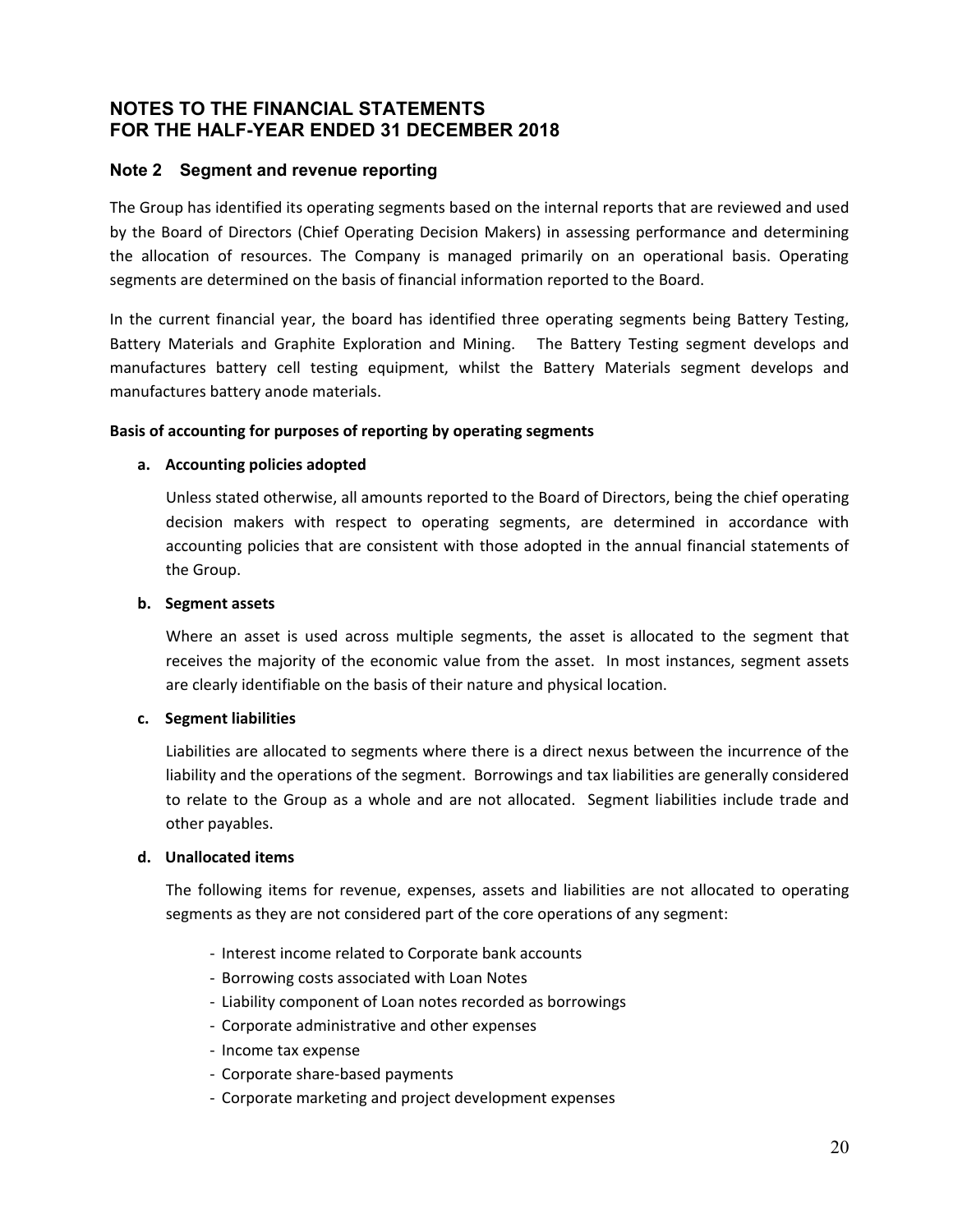#### **Note 2 Segment and revenue reporting**

The Group has identified its operating segments based on the internal reports that are reviewed and used by the Board of Directors (Chief Operating Decision Makers) in assessing performance and determining the allocation of resources. The Company is managed primarily on an operational basis. Operating segments are determined on the basis of financial information reported to the Board.

In the current financial year, the board has identified three operating segments being Battery Testing, Battery Materials and Graphite Exploration and Mining. The Battery Testing segment develops and manufactures battery cell testing equipment, whilst the Battery Materials segment develops and manufactures battery anode materials.

#### **Basis of accounting for purposes of reporting by operating segments**

#### **a. Accounting policies adopted**

Unless stated otherwise, all amounts reported to the Board of Directors, being the chief operating decision makers with respect to operating segments, are determined in accordance with accounting policies that are consistent with those adopted in the annual financial statements of the Group.

#### **b. Segment assets**

Where an asset is used across multiple segments, the asset is allocated to the segment that receives the majority of the economic value from the asset. In most instances, segment assets are clearly identifiable on the basis of their nature and physical location.

#### **c. Segment liabilities**

Liabilities are allocated to segments where there is a direct nexus between the incurrence of the liability and the operations of the segment. Borrowings and tax liabilities are generally considered to relate to the Group as a whole and are not allocated. Segment liabilities include trade and other payables.

#### **d. Unallocated items**

The following items for revenue, expenses, assets and liabilities are not allocated to operating segments as they are not considered part of the core operations of any segment:

- ‐ Interest income related to Corporate bank accounts
- ‐ Borrowing costs associated with Loan Notes
- ‐ Liability component of Loan notes recorded as borrowings
- ‐ Corporate administrative and other expenses
- ‐ Income tax expense
- ‐ Corporate share‐based payments
- ‐ Corporate marketing and project development expenses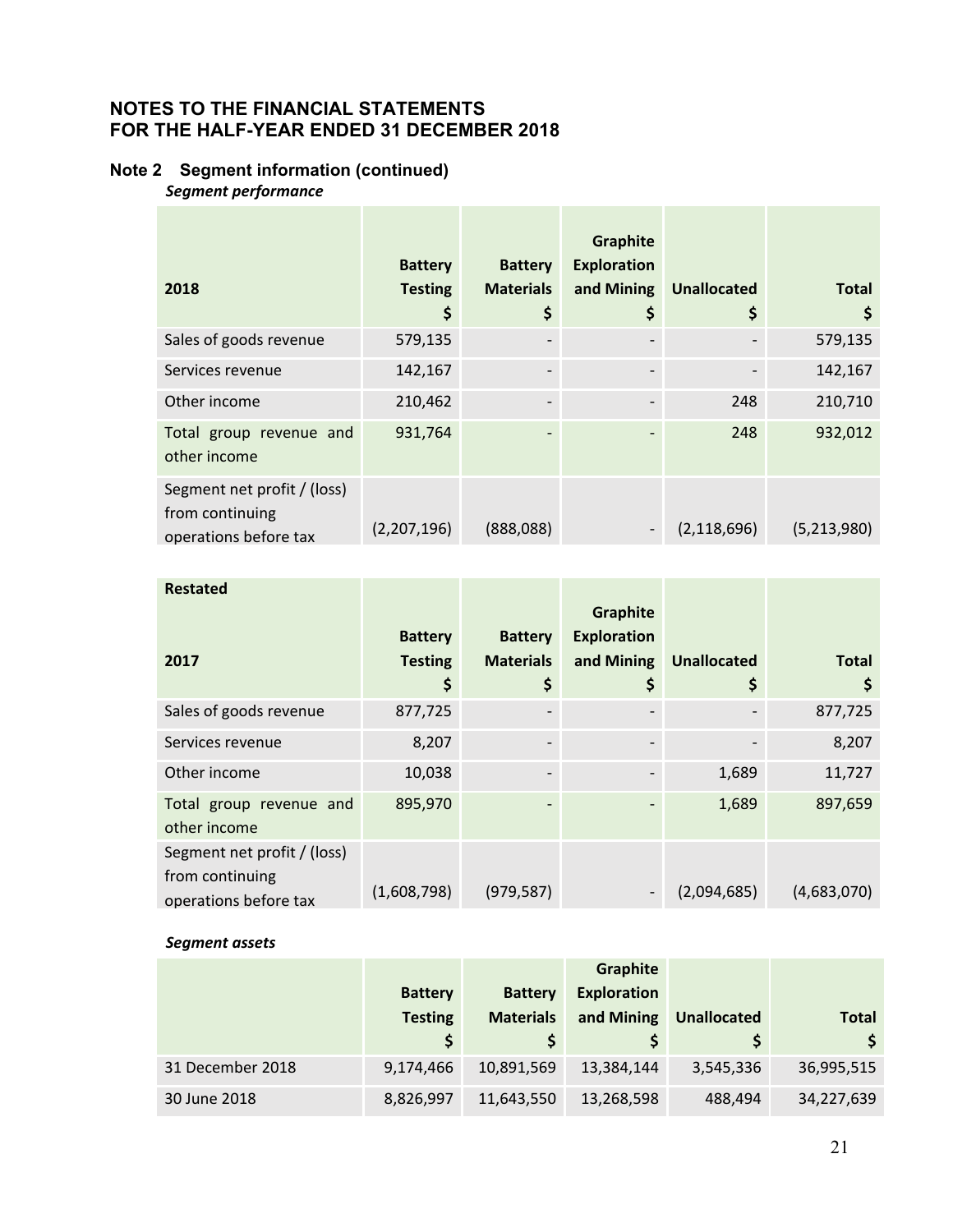# **Note 2 Segment information (continued)**

*Segment performance* 

|                                                                         | <b>Battery</b> | <b>Battery</b>   | Graphite<br><b>Exploration</b> |                    |              |
|-------------------------------------------------------------------------|----------------|------------------|--------------------------------|--------------------|--------------|
| 2018                                                                    | <b>Testing</b> | <b>Materials</b> | and Mining                     | <b>Unallocated</b> | <b>Total</b> |
|                                                                         | \$             | \$               | \$                             | \$                 | \$           |
| Sales of goods revenue                                                  | 579,135        |                  |                                |                    | 579,135      |
| Services revenue                                                        | 142,167        |                  |                                |                    | 142,167      |
| Other income                                                            | 210,462        |                  |                                | 248                | 210,710      |
| Total group revenue and<br>other income                                 | 931,764        | ٠                |                                | 248                | 932,012      |
| Segment net profit / (loss)<br>from continuing<br>operations before tax | (2,207,196)    | (888,088)        |                                | (2, 118, 696)      | (5,213,980)  |

| <b>Restated</b>                                                         |                |                  |                                |                    |              |
|-------------------------------------------------------------------------|----------------|------------------|--------------------------------|--------------------|--------------|
|                                                                         | <b>Battery</b> | <b>Battery</b>   | Graphite<br><b>Exploration</b> |                    |              |
| 2017                                                                    | <b>Testing</b> | <b>Materials</b> | and Mining                     | <b>Unallocated</b> | <b>Total</b> |
|                                                                         | \$             | \$               | Ş                              | \$                 | \$           |
| Sales of goods revenue                                                  | 877,725        |                  |                                |                    | 877,725      |
| Services revenue                                                        | 8,207          |                  |                                |                    | 8,207        |
| Other income                                                            | 10,038         | ٠                |                                | 1,689              | 11,727       |
| Total group revenue and<br>other income                                 | 895,970        | ٠                |                                | 1,689              | 897,659      |
| Segment net profit / (loss)<br>from continuing<br>operations before tax | (1,608,798)    | (979, 587)       |                                | (2,094,685)        | (4,683,070)  |

#### *Segment assets*

|                  |                |                  | <b>Graphite</b>    |                    |            |
|------------------|----------------|------------------|--------------------|--------------------|------------|
|                  | <b>Battery</b> | <b>Battery</b>   | <b>Exploration</b> |                    |            |
|                  | <b>Testing</b> | <b>Materials</b> | and Mining         | <b>Unallocated</b> | Total      |
|                  |                |                  |                    |                    | \$         |
| 31 December 2018 | 9,174,466      | 10,891,569       | 13,384,144         | 3,545,336          | 36,995,515 |
| 30 June 2018     | 8,826,997      | 11,643,550       | 13,268,598         | 488,494            | 34,227,639 |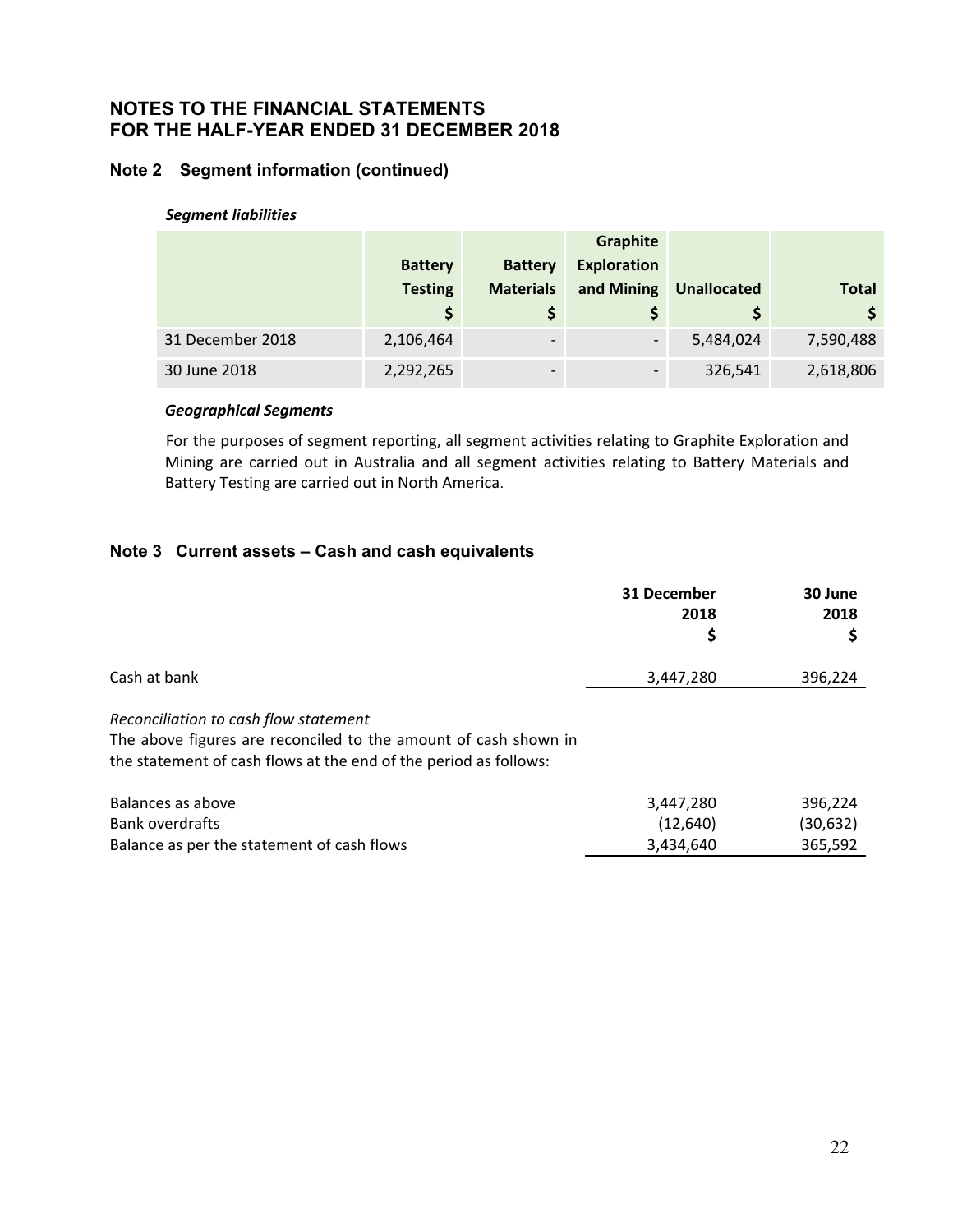# **Note 2 Segment information (continued)**

#### *Segment liabilities*

|                  |                |                  | Graphite                 |                    |              |
|------------------|----------------|------------------|--------------------------|--------------------|--------------|
|                  | <b>Battery</b> | <b>Battery</b>   | <b>Exploration</b>       |                    |              |
|                  | <b>Testing</b> | <b>Materials</b> | and Mining               | <b>Unallocated</b> | <b>Total</b> |
|                  |                |                  |                          | S                  | \$           |
| 31 December 2018 | 2,106,464      |                  | $\overline{\phantom{a}}$ | 5,484,024          | 7,590,488    |
| 30 June 2018     | 2,292,265      |                  | $\qquad \qquad$          | 326,541            | 2,618,806    |

#### *Geographical Segments*

 For the purposes of segment reporting, all segment activities relating to Graphite Exploration and Mining are carried out in Australia and all segment activities relating to Battery Materials and Battery Testing are carried out in North America.

#### **Note 3 Current assets – Cash and cash equivalents**

|                                                                                                                                                                              | 31 December<br>2018<br>\$ | 30 June<br>2018     |
|------------------------------------------------------------------------------------------------------------------------------------------------------------------------------|---------------------------|---------------------|
| Cash at bank                                                                                                                                                                 | 3,447,280                 | 396,224             |
| Reconciliation to cash flow statement<br>The above figures are reconciled to the amount of cash shown in<br>the statement of cash flows at the end of the period as follows: |                           |                     |
| Balances as above<br><b>Bank overdrafts</b>                                                                                                                                  | 3,447,280<br>(12, 640)    | 396,224<br>(30,632) |

Balance as per the statement of cash flows 365,592 3,434,640 365,592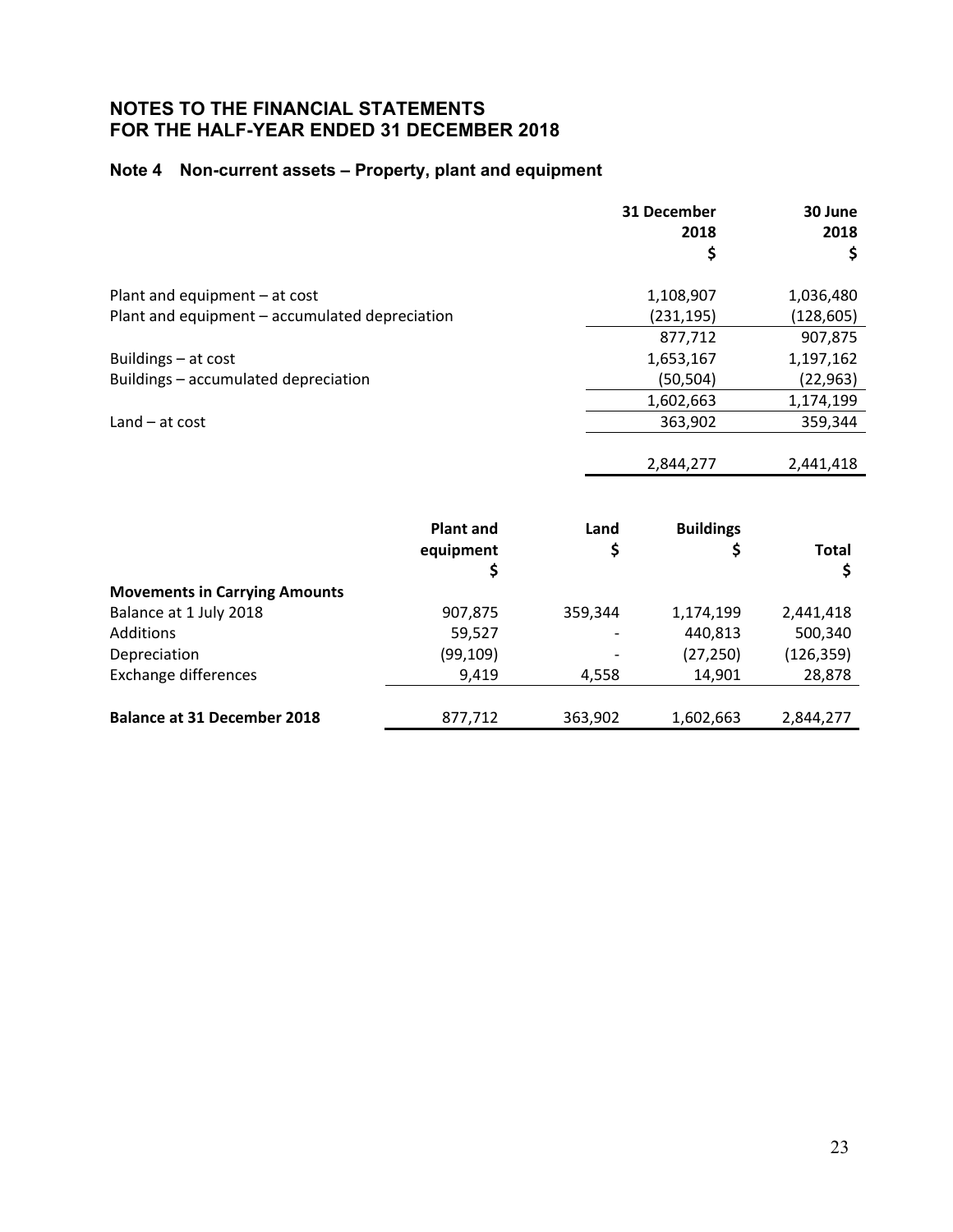# **Note 4 Non-current assets – Property, plant and equipment**

|                                                |                  |         | 31 December      | 30 June      |
|------------------------------------------------|------------------|---------|------------------|--------------|
|                                                |                  |         | 2018             | 2018         |
|                                                |                  |         | \$               | \$           |
| Plant and equipment - at cost                  |                  |         | 1,108,907        | 1,036,480    |
| Plant and equipment - accumulated depreciation |                  |         | (231,195)        | (128,605)    |
|                                                |                  |         | 877,712          | 907,875      |
| Buildings - at cost                            |                  |         | 1,653,167        | 1,197,162    |
| Buildings - accumulated depreciation           |                  |         | (50,504)         | (22, 963)    |
|                                                |                  |         | 1,602,663        | 1,174,199    |
| $Land - at cost$                               |                  |         | 363,902          | 359,344      |
|                                                |                  |         |                  |              |
|                                                |                  |         | 2,844,277        | 2,441,418    |
|                                                |                  |         |                  |              |
|                                                | <b>Plant and</b> | Land    | <b>Buildings</b> |              |
|                                                | equipment        | \$      | \$               | <b>Total</b> |
|                                                | \$               |         |                  | \$           |
| <b>Movements in Carrying Amounts</b>           |                  |         |                  |              |
| Balance at 1 July 2018                         | 907,875          | 359,344 | 1,174,199        | 2,441,418    |
| Additions                                      | 59,527           |         | 440,813          | 500,340      |
| Depreciation                                   | (99, 109)        |         | (27, 250)        | (126, 359)   |

Exchange differences 9,419 4,558 14,901 28,878

| 363,902<br>2,844,277<br>1,602,663 |
|-----------------------------------|
|-----------------------------------|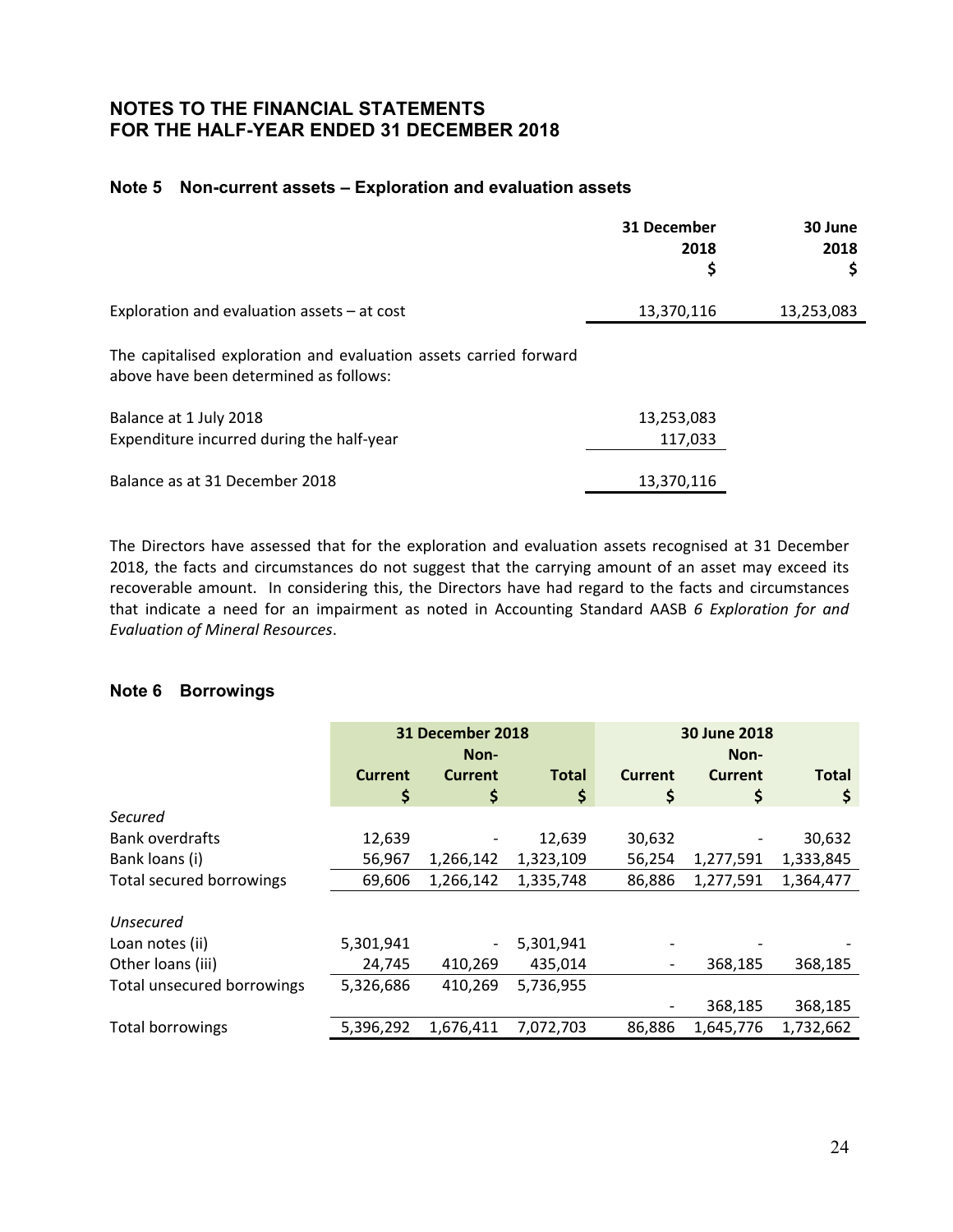#### **Note 5 Non-current assets – Exploration and evaluation assets**

|                                                                                                             | 31 December<br>2018<br>\$ | 30 June<br>2018<br>\$ |
|-------------------------------------------------------------------------------------------------------------|---------------------------|-----------------------|
| Exploration and evaluation assets $-$ at cost                                                               | 13,370,116                | 13,253,083            |
| The capitalised exploration and evaluation assets carried forward<br>above have been determined as follows: |                           |                       |
| Balance at 1 July 2018<br>Expenditure incurred during the half-year                                         | 13,253,083<br>117,033     |                       |
| Balance as at 31 December 2018                                                                              | 13,370,116                |                       |

The Directors have assessed that for the exploration and evaluation assets recognised at 31 December 2018, the facts and circumstances do not suggest that the carrying amount of an asset may exceed its recoverable amount. In considering this, the Directors have had regard to the facts and circumstances that indicate a need for an impairment as noted in Accounting Standard AASB *6 Exploration for and Evaluation of Mineral Resources*.

#### **Note 6 Borrowings**

| 31 December 2018 |                          | 30 June 2018 |                |           |              |
|------------------|--------------------------|--------------|----------------|-----------|--------------|
|                  | Non-                     |              | Non-           |           |              |
| <b>Current</b>   | Current                  | <b>Total</b> | <b>Current</b> | Current   | <b>Total</b> |
| \$               | \$                       | \$           | \$             | \$        | Ş            |
|                  |                          |              |                |           |              |
| 12,639           |                          | 12,639       | 30,632         |           | 30,632       |
| 56,967           | 1,266,142                | 1,323,109    | 56,254         | 1,277,591 | 1,333,845    |
| 69,606           | 1,266,142                | 1,335,748    | 86,886         | 1,277,591 | 1,364,477    |
|                  |                          |              |                |           |              |
|                  |                          |              |                |           |              |
| 5,301,941        | $\overline{\phantom{a}}$ | 5,301,941    |                |           |              |
| 24,745           | 410,269                  | 435,014      |                | 368,185   | 368,185      |
| 5,326,686        | 410,269                  | 5,736,955    |                |           |              |
|                  |                          |              |                | 368,185   | 368,185      |
| 5,396,292        | 1,676,411                | 7,072,703    | 86,886         | 1,645,776 | 1,732,662    |
|                  |                          |              |                |           |              |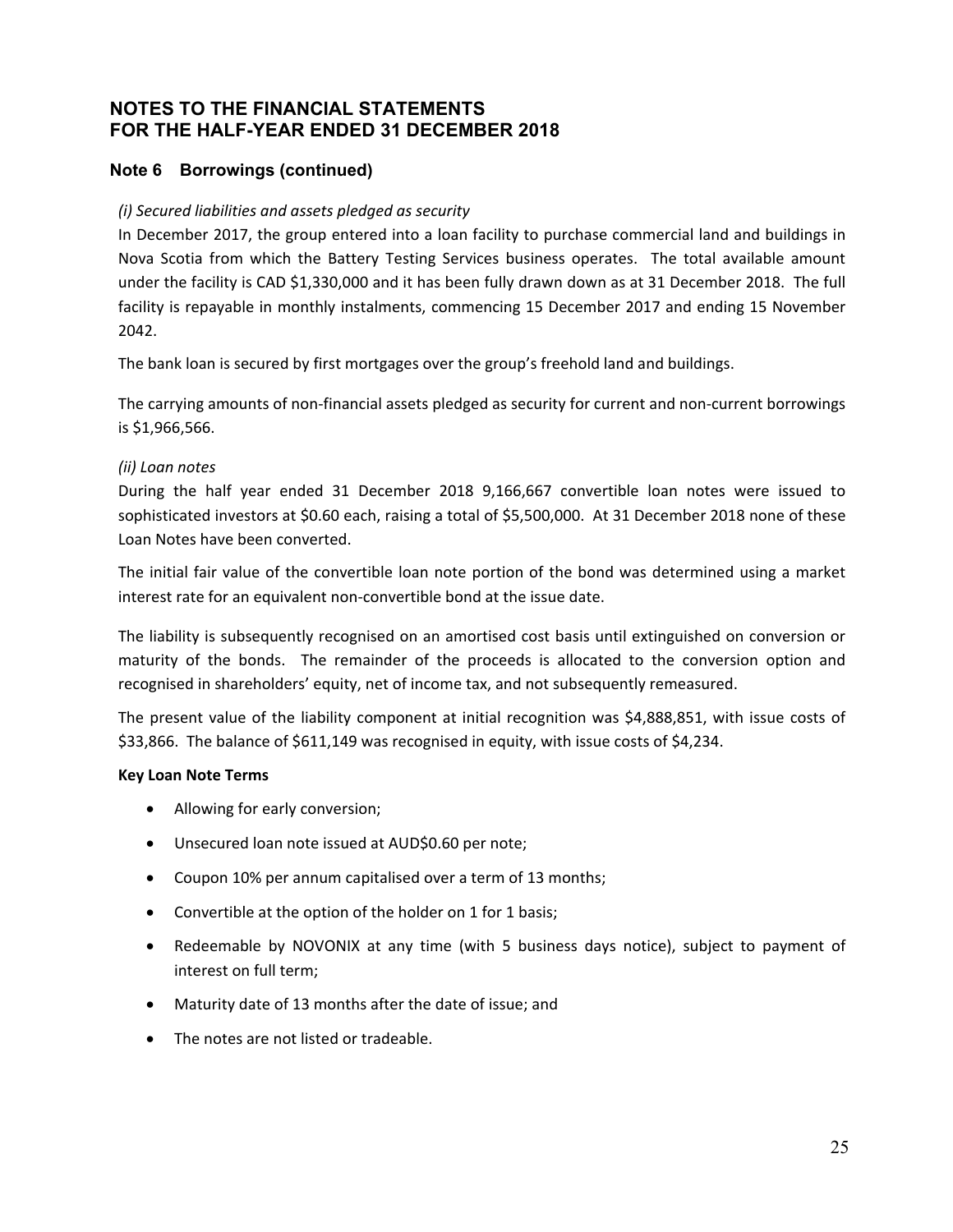# **Note 6 Borrowings (continued)**

#### *(i) Secured liabilities and assets pledged as security*

In December 2017, the group entered into a loan facility to purchase commercial land and buildings in Nova Scotia from which the Battery Testing Services business operates. The total available amount under the facility is CAD \$1,330,000 and it has been fully drawn down as at 31 December 2018. The full facility is repayable in monthly instalments, commencing 15 December 2017 and ending 15 November 2042.

The bank loan is secured by first mortgages over the group's freehold land and buildings.

The carrying amounts of non-financial assets pledged as security for current and non-current borrowings is \$1,966,566.

#### *(ii) Loan notes*

During the half year ended 31 December 2018 9,166,667 convertible loan notes were issued to sophisticated investors at \$0.60 each, raising a total of \$5,500,000. At 31 December 2018 none of these Loan Notes have been converted.

The initial fair value of the convertible loan note portion of the bond was determined using a market interest rate for an equivalent non‐convertible bond at the issue date.

The liability is subsequently recognised on an amortised cost basis until extinguished on conversion or maturity of the bonds. The remainder of the proceeds is allocated to the conversion option and recognised in shareholders' equity, net of income tax, and not subsequently remeasured.

The present value of the liability component at initial recognition was \$4,888,851, with issue costs of \$33,866. The balance of \$611,149 was recognised in equity, with issue costs of \$4,234.

#### **Key Loan Note Terms**

- Allowing for early conversion;
- Unsecured loan note issued at AUD\$0.60 per note;
- Coupon 10% per annum capitalised over a term of 13 months;
- Convertible at the option of the holder on 1 for 1 basis;
- Redeemable by NOVONIX at any time (with 5 business days notice), subject to payment of interest on full term;
- Maturity date of 13 months after the date of issue; and
- The notes are not listed or tradeable.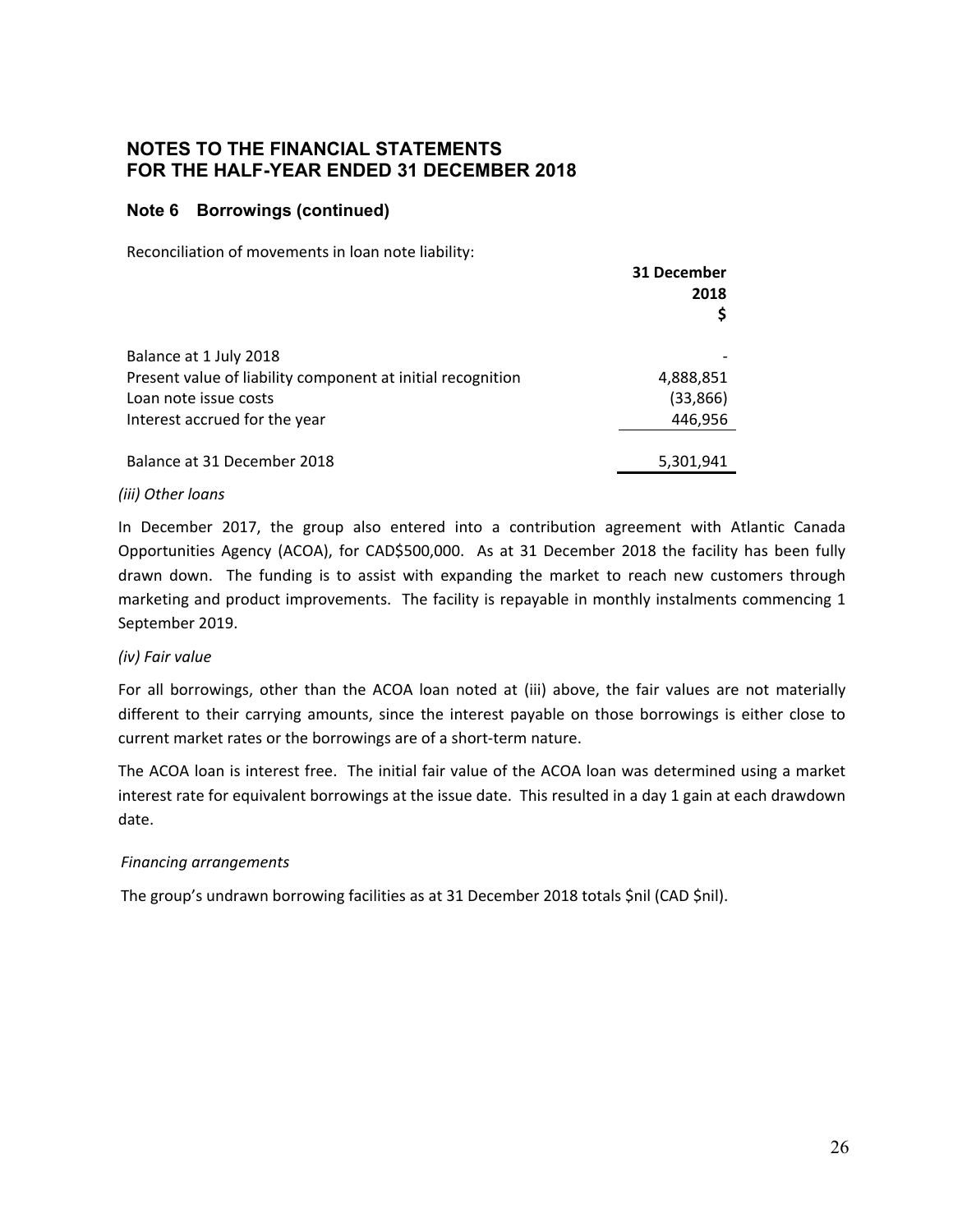#### **Note 6 Borrowings (continued)**

Reconciliation of movements in loan note liability:

|                                                             | 31 December<br>2018<br>Ş |
|-------------------------------------------------------------|--------------------------|
| Balance at 1 July 2018                                      |                          |
| Present value of liability component at initial recognition | 4,888,851                |
| Loan note issue costs                                       | (33, 866)                |
| Interest accrued for the year                               | 446,956                  |
| Balance at 31 December 2018                                 | 5,301,941                |

#### *(iii) Other loans*

In December 2017, the group also entered into a contribution agreement with Atlantic Canada Opportunities Agency (ACOA), for CAD\$500,000. As at 31 December 2018 the facility has been fully drawn down. The funding is to assist with expanding the market to reach new customers through marketing and product improvements. The facility is repayable in monthly instalments commencing 1 September 2019.

#### *(iv) Fair value*

For all borrowings, other than the ACOA loan noted at (iii) above, the fair values are not materially different to their carrying amounts, since the interest payable on those borrowings is either close to current market rates or the borrowings are of a short‐term nature.

The ACOA loan is interest free. The initial fair value of the ACOA loan was determined using a market interest rate for equivalent borrowings at the issue date. This resulted in a day 1 gain at each drawdown date.

#### *Financing arrangements*

The group's undrawn borrowing facilities as at 31 December 2018 totals \$nil (CAD \$nil).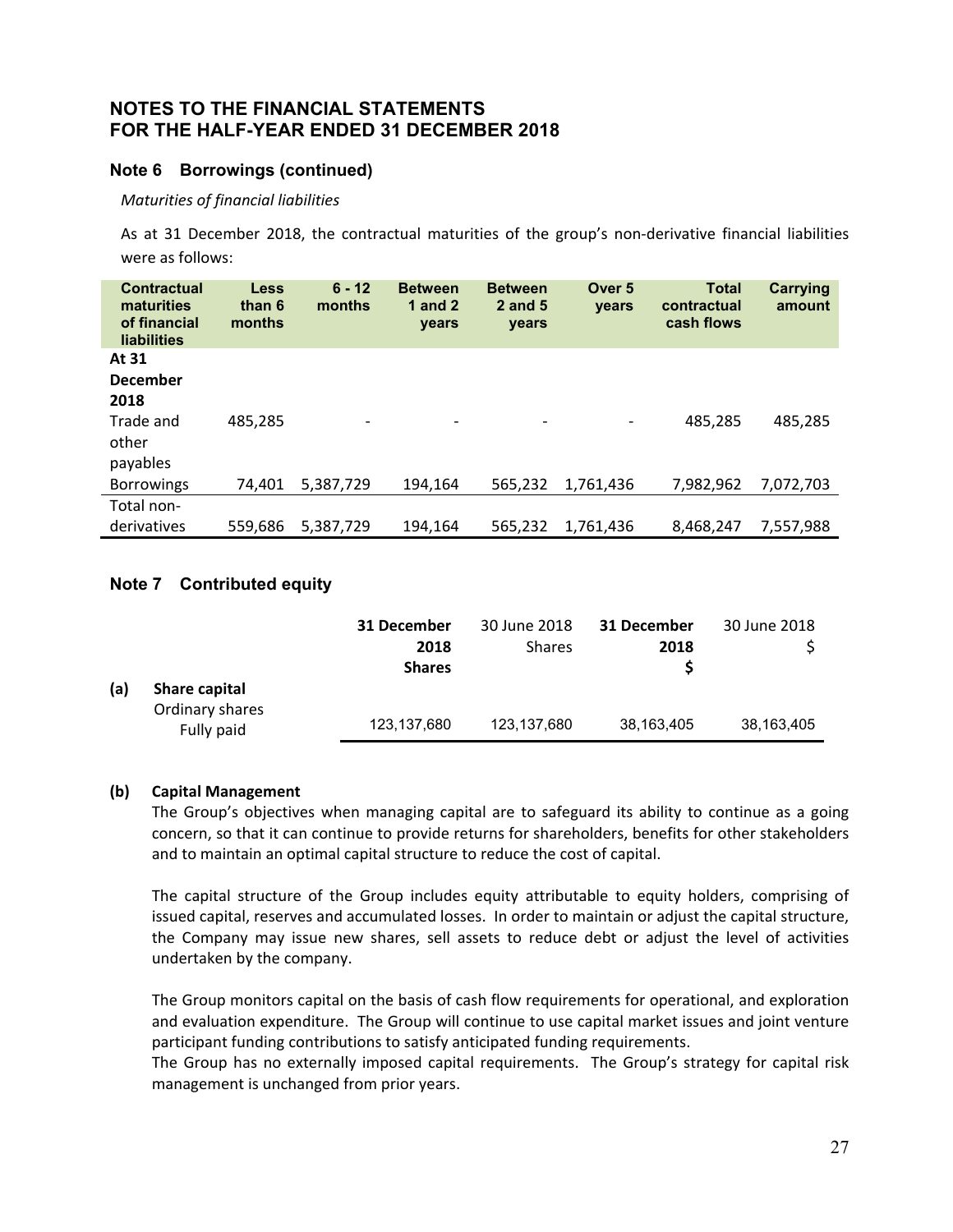#### **Note 6 Borrowings (continued)**

*Maturities of financial liabilities* 

As at 31 December 2018, the contractual maturities of the group's non-derivative financial liabilities were as follows:

| <b>Contractual</b><br>maturities<br>of financial<br><b>liabilities</b> | Less<br>than 6<br>months | $6 - 12$<br>months       | <b>Between</b><br>1 and $2$<br>years | <b>Between</b><br>2 and 5<br>years | Over <sub>5</sub><br><b>vears</b> | <b>Total</b><br>contractual<br>cash flows | <b>Carrying</b><br>amount |
|------------------------------------------------------------------------|--------------------------|--------------------------|--------------------------------------|------------------------------------|-----------------------------------|-------------------------------------------|---------------------------|
| At 31                                                                  |                          |                          |                                      |                                    |                                   |                                           |                           |
| <b>December</b>                                                        |                          |                          |                                      |                                    |                                   |                                           |                           |
| 2018                                                                   |                          |                          |                                      |                                    |                                   |                                           |                           |
| Trade and<br>other                                                     | 485.285                  | $\overline{\phantom{a}}$ | $\overline{\phantom{a}}$             | $\overline{\phantom{a}}$           | $\overline{\phantom{a}}$          | 485,285                                   | 485,285                   |
| payables                                                               |                          |                          |                                      |                                    |                                   |                                           |                           |
| <b>Borrowings</b>                                                      | 74.401                   | 5.387.729                | 194.164                              | 565,232                            | 1,761,436                         | 7,982,962                                 | 7,072,703                 |
| Total non-                                                             |                          |                          |                                      |                                    |                                   |                                           |                           |
| derivatives                                                            | 559,686                  | 5,387,729                | 194.164                              | 565,232                            | 1,761,436                         | 8,468,247                                 | 7,557,988                 |

# **Note 7 Contributed equity**

|     |                                                | 31 December<br>2018<br><b>Shares</b> | 30 June 2018<br><b>Shares</b> | 31 December<br>2018 | 30 June 2018 |
|-----|------------------------------------------------|--------------------------------------|-------------------------------|---------------------|--------------|
| (a) | Share capital<br>Ordinary shares<br>Fully paid | 123,137,680                          | 123,137,680                   | 38,163,405          | 38,163,405   |

#### **(b) Capital Management**

The Group's objectives when managing capital are to safeguard its ability to continue as a going concern, so that it can continue to provide returns for shareholders, benefits for other stakeholders and to maintain an optimal capital structure to reduce the cost of capital.

The capital structure of the Group includes equity attributable to equity holders, comprising of issued capital, reserves and accumulated losses. In order to maintain or adjust the capital structure, the Company may issue new shares, sell assets to reduce debt or adjust the level of activities undertaken by the company.

The Group monitors capital on the basis of cash flow requirements for operational, and exploration and evaluation expenditure. The Group will continue to use capital market issues and joint venture participant funding contributions to satisfy anticipated funding requirements.

The Group has no externally imposed capital requirements. The Group's strategy for capital risk management is unchanged from prior years.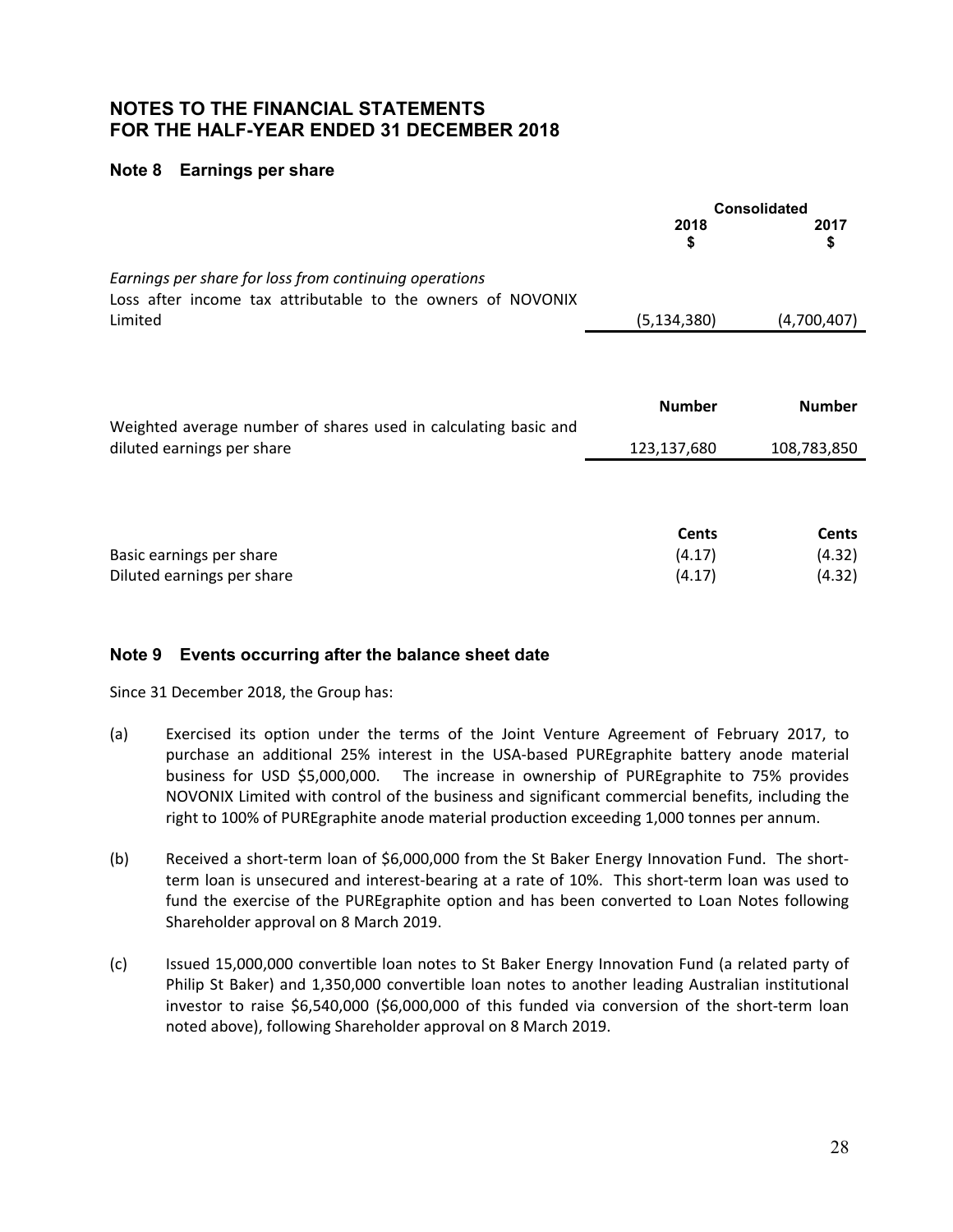#### **Note 8 Earnings per share**

|                                                                                                                       |               | <b>Consolidated</b> |
|-----------------------------------------------------------------------------------------------------------------------|---------------|---------------------|
|                                                                                                                       | 2018<br>\$    | 2017<br>\$          |
| Earnings per share for loss from continuing operations<br>Loss after income tax attributable to the owners of NOVONIX |               |                     |
| Limited                                                                                                               | (5, 134, 380) | (4,700,407)         |
|                                                                                                                       | <b>Number</b> | <b>Number</b>       |
| Weighted average number of shares used in calculating basic and<br>diluted earnings per share                         | 123,137,680   | 108,783,850         |
|                                                                                                                       | <b>Cents</b>  | <b>Cents</b>        |
| Basic earnings per share                                                                                              | (4.17)        | (4.32)              |
| Diluted earnings per share                                                                                            | (4.17)        | (4.32)              |

#### **Note 9 Events occurring after the balance sheet date**

Since 31 December 2018, the Group has:

- (a) Exercised its option under the terms of the Joint Venture Agreement of February 2017, to purchase an additional 25% interest in the USA‐based PUREgraphite battery anode material business for USD \$5,000,000. The increase in ownership of PUREgraphite to 75% provides NOVONIX Limited with control of the business and significant commercial benefits, including the right to 100% of PUREgraphite anode material production exceeding 1,000 tonnes per annum.
- (b) Received a short‐term loan of \$6,000,000 from the St Baker Energy Innovation Fund. The short‐ term loan is unsecured and interest-bearing at a rate of 10%. This short-term loan was used to fund the exercise of the PUREgraphite option and has been converted to Loan Notes following Shareholder approval on 8 March 2019.
- (c) Issued 15,000,000 convertible loan notes to St Baker Energy Innovation Fund (a related party of Philip St Baker) and 1,350,000 convertible loan notes to another leading Australian institutional investor to raise \$6,540,000 (\$6,000,000 of this funded via conversion of the short-term loan noted above), following Shareholder approval on 8 March 2019.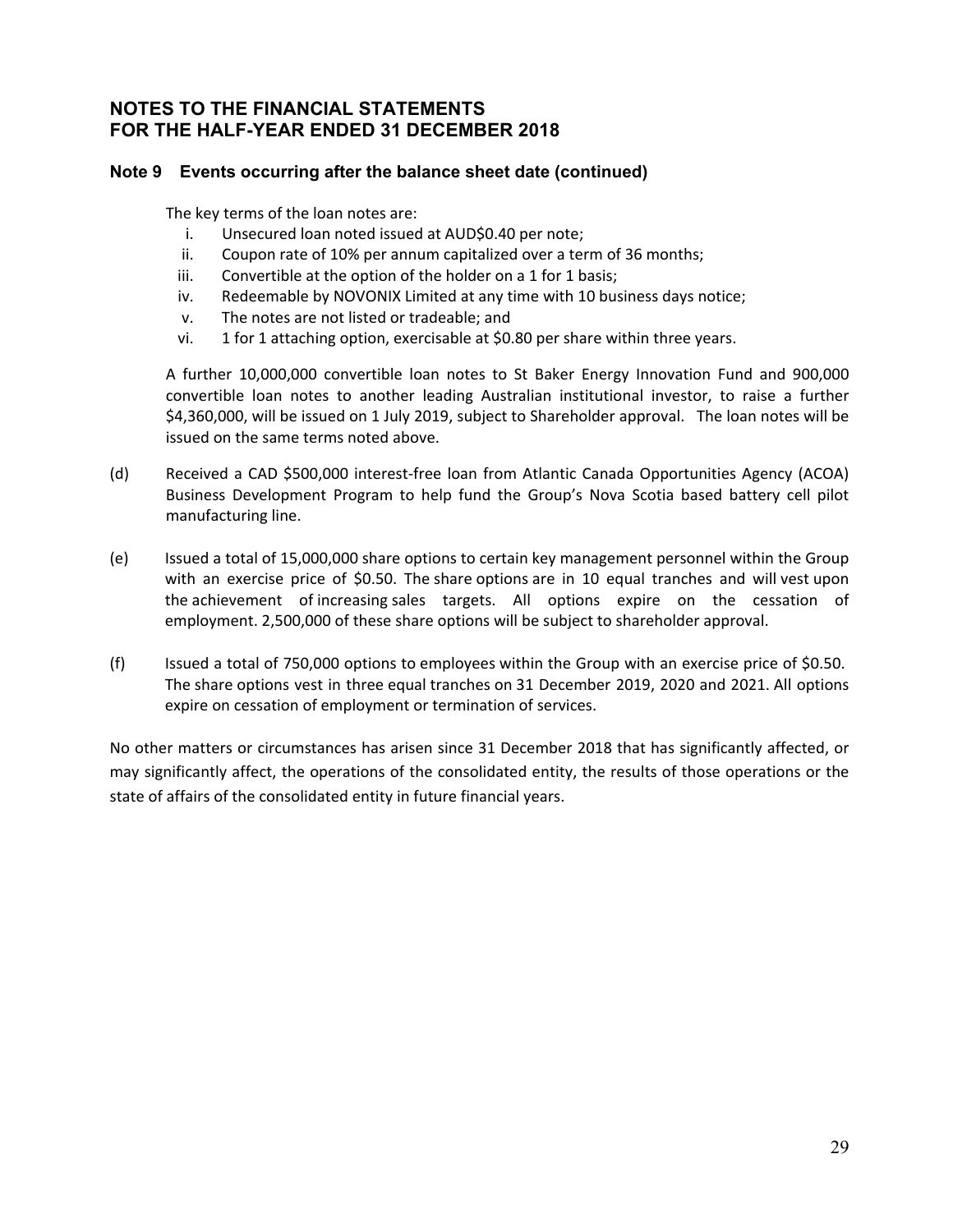### **Note 9 Events occurring after the balance sheet date (continued)**

The key terms of the loan notes are:

- i. Unsecured loan noted issued at AUD\$0.40 per note;
- ii. Coupon rate of 10% per annum capitalized over a term of 36 months;
- iii. Convertible at the option of the holder on a 1 for 1 basis;
- iv. Redeemable by NOVONIX Limited at any time with 10 business days notice;
- v. The notes are not listed or tradeable; and
- vi. 1 for 1 attaching option, exercisable at \$0.80 per share within three years.

 A further 10,000,000 convertible loan notes to St Baker Energy Innovation Fund and 900,000 convertible loan notes to another leading Australian institutional investor, to raise a further \$4,360,000, will be issued on 1 July 2019, subject to Shareholder approval. The loan notes will be issued on the same terms noted above.

- (d) Received a CAD \$500,000 interest‐free loan from Atlantic Canada Opportunities Agency (ACOA) Business Development Program to help fund the Group's Nova Scotia based battery cell pilot manufacturing line.
- (e) Issued a total of 15,000,000 share options to certain key management personnel within the Group with an exercise price of \$0.50. The share options are in 10 equal tranches and will vest upon the achievement of increasing sales targets. All options expire on the cessation of employment. 2,500,000 of these share options will be subject to shareholder approval.
- (f) Issued a total of 750,000 options to employees within the Group with an exercise price of \$0.50. The share options vest in three equal tranches on 31 December 2019, 2020 and 2021. All options expire on cessation of employment or termination of services.

No other matters or circumstances has arisen since 31 December 2018 that has significantly affected, or may significantly affect, the operations of the consolidated entity, the results of those operations or the state of affairs of the consolidated entity in future financial years.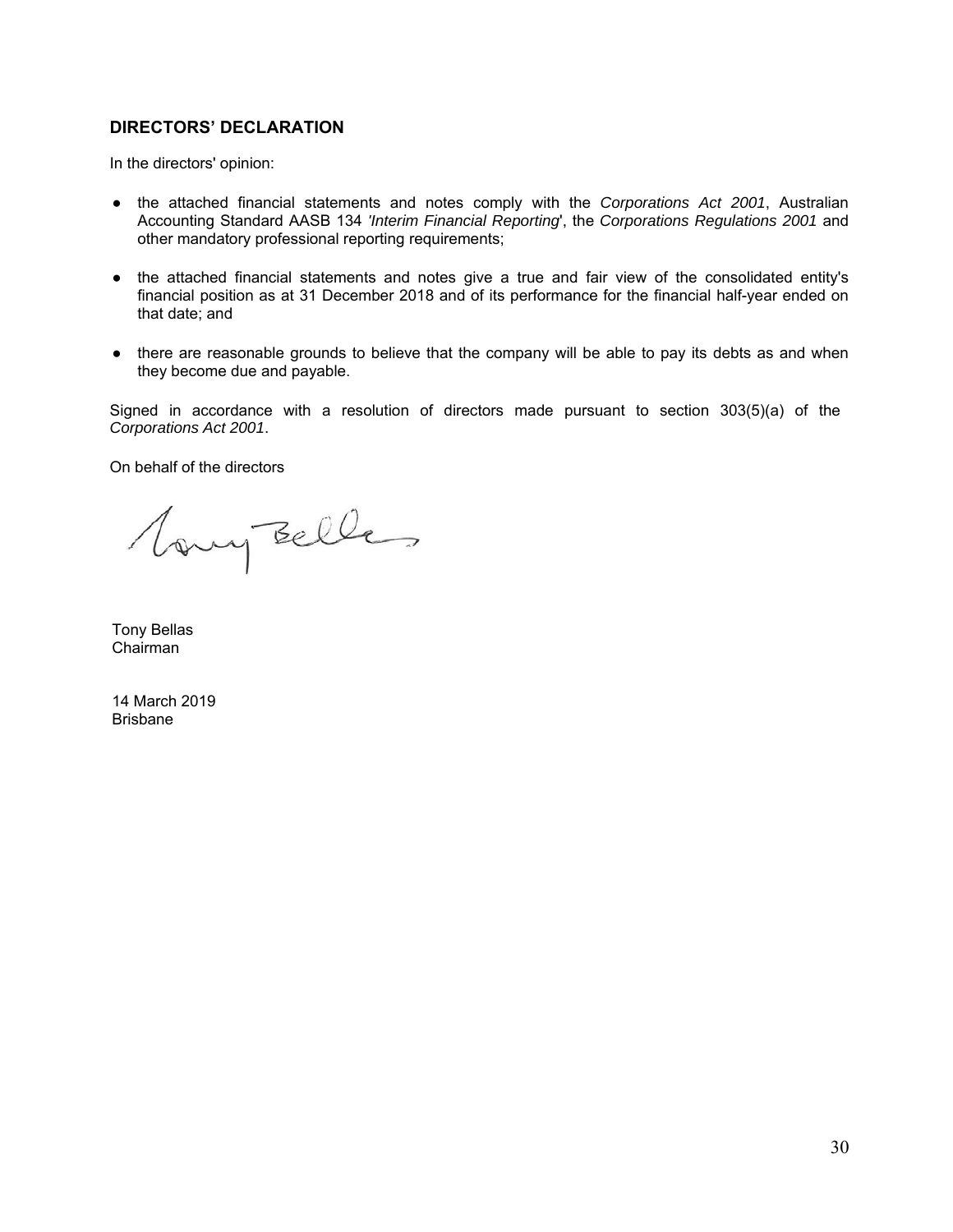#### **DIRECTORS' DECLARATION**

In the directors' opinion:

- the attached financial statements and notes comply with the *Corporations Act 2001*, Australian Accounting Standard AASB 134 *'Interim Financial Reporting*', the *Corporations Regulations 2001* and other mandatory professional reporting requirements;
- the attached financial statements and notes give a true and fair view of the consolidated entity's financial position as at 31 December 2018 and of its performance for the financial half-year ended on that date; and
- there are reasonable grounds to believe that the company will be able to pay its debts as and when they become due and payable.

Signed in accordance with a resolution of directors made pursuant to section 303(5)(a) of the *Corporations Act 2001*.

On behalf of the directors

Vany Belles

Tony Bellas Chairman

14 March 2019 Brisbane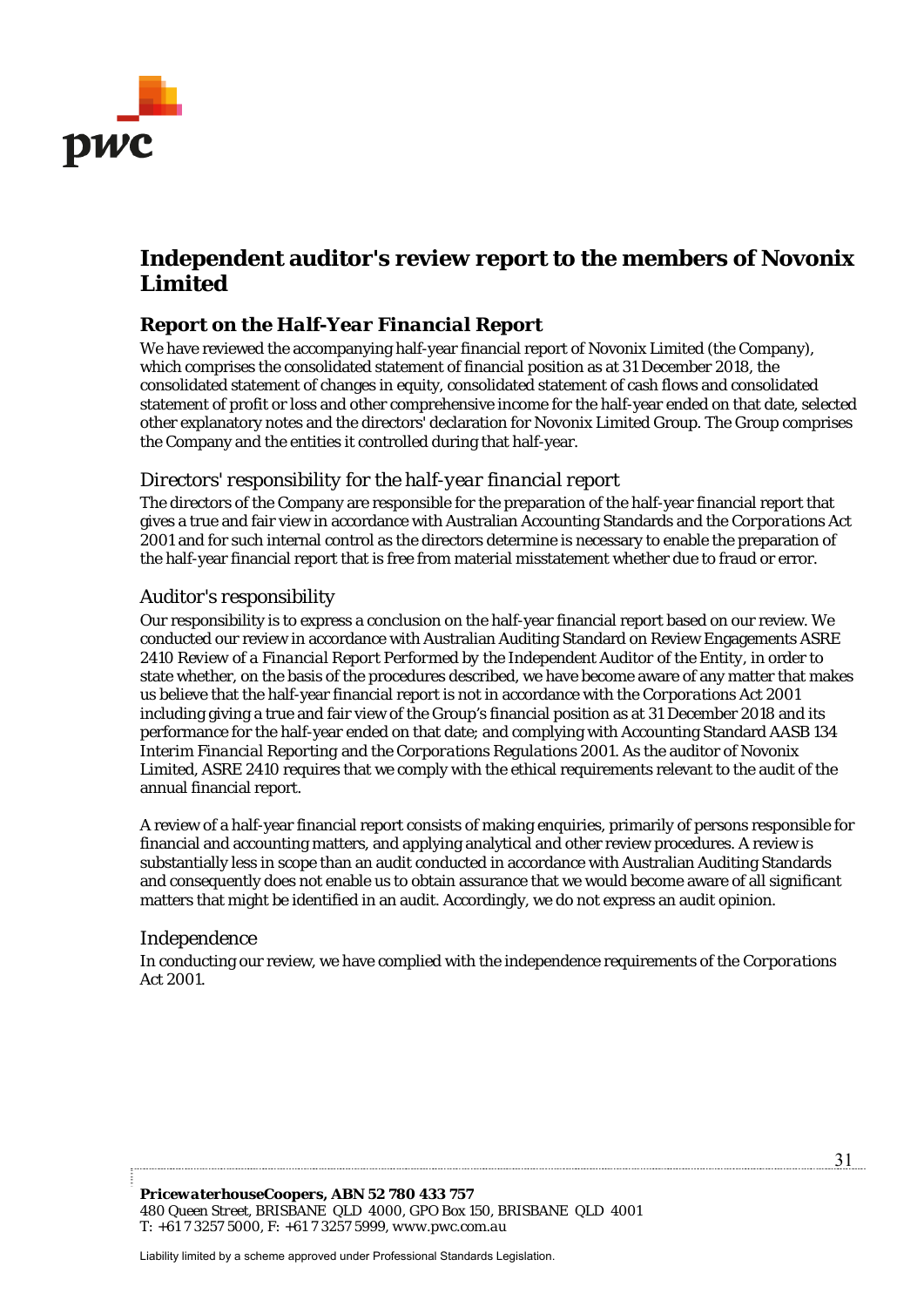

# **Independent auditor's review report to the members of Novonix Limited**

# *Report on the Half-Year Financial Report*

We have reviewed the accompanying half-year financial report of Novonix Limited (the Company), which comprises the consolidated statement of financial position as at 31 December 2018, the consolidated statement of changes in equity, consolidated statement of cash flows and consolidated statement of profit or loss and other comprehensive income for the half-year ended on that date, selected other explanatory notes and the directors' declaration for Novonix Limited Group. The Group comprises the Company and the entities it controlled during that half-year.

# *Directors' responsibility for the half-year financial report*

The directors of the Company are responsible for the preparation of the half-year financial report that gives a true and fair view in accordance with Australian Accounting Standards and the *Corporations Act 2001* and for such internal control as the directors determine is necessary to enable the preparation of the half-year financial report that is free from material misstatement whether due to fraud or error.

# *Auditor's responsibility*

Our responsibility is to express a conclusion on the half-year financial report based on our review. We conducted our review in accordance with Australian Auditing Standard on Review Engagements ASRE 2410 *Review of a Financial Report Performed by the Independent Auditor of the Entity*, in order to state whether, on the basis of the procedures described, we have become aware of any matter that makes us believe that the half-year financial report is not in accordance with the *Corporations Act 2001* including giving a true and fair view of the Group's financial position as at 31 December 2018 and its performance for the half-year ended on that date; and complying with Accounting Standard AASB 134 *Interim Financial Reporting* and the *Corporations Regulations 2001*. As the auditor of Novonix Limited, ASRE 2410 requires that we comply with the ethical requirements relevant to the audit of the annual financial report.

A review of a half-year financial report consists of making enquiries, primarily of persons responsible for financial and accounting matters, and applying analytical and other review procedures. A review is substantially less in scope than an audit conducted in accordance with Australian Auditing Standards and consequently does not enable us to obtain assurance that we would become aware of all significant matters that might be identified in an audit. Accordingly, we do not express an audit opinion.

# *Independence*

In conducting our review, we have complied with the independence requirements of the *Corporations Act 2001*.

Liability limited by a scheme approved under Professional Standards Legislation.